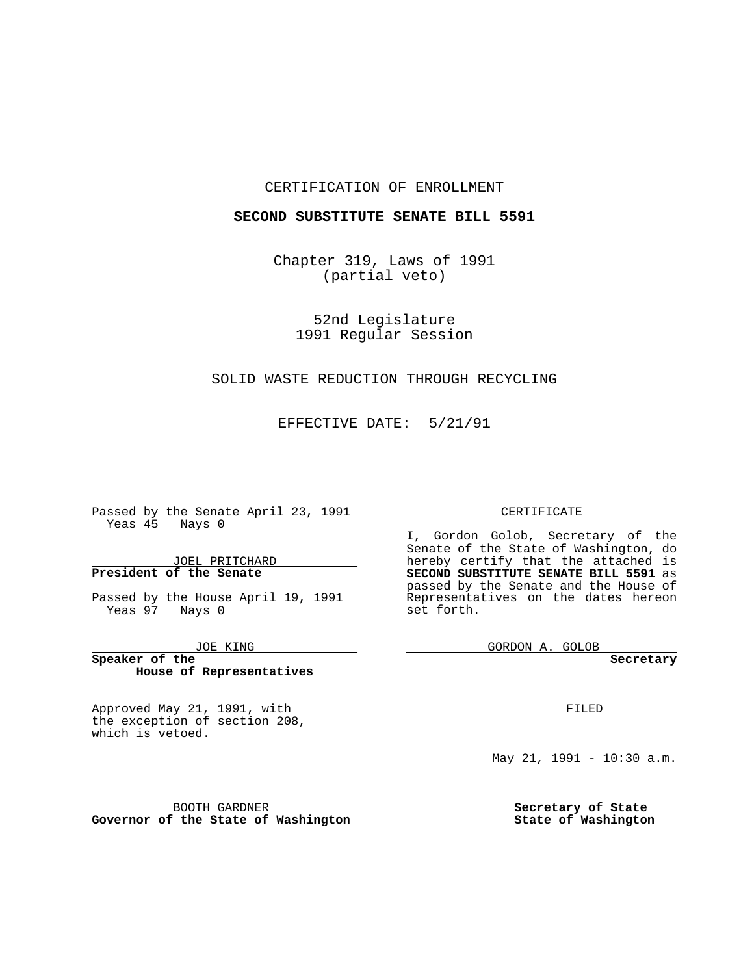### CERTIFICATION OF ENROLLMENT

### **SECOND SUBSTITUTE SENATE BILL 5591**

Chapter 319, Laws of 1991 (partial veto)

> 52nd Legislature 1991 Regular Session

## SOLID WASTE REDUCTION THROUGH RECYCLING

EFFECTIVE DATE: 5/21/91

**Contract Contract** 

Passed by the Senate April 23, 1991 Yeas  $45$  Nays 0

### JOEL PRITCHARD **President of the Senate**

Passed by the House April 19, 1991 Yeas 97 Nays 0

JOE KING

**Speaker of the House of Representatives**

Approved May 21, 1991, with the exception of section 208, which is vetoed.

BOOTH GARDNER **Governor of the State of Washington**

### CERTIFICATE

I, Gordon Golob, Secretary of the Senate of the State of Washington, do hereby certify that the attached is **SECOND SUBSTITUTE SENATE BILL 5591** as passed by the Senate and the House of Representatives on the dates hereon set forth.

GORDON A. GOLOB

**Secretary**

FILED

May 21, 1991 - 10:30 a.m.

**Secretary of State State of Washington**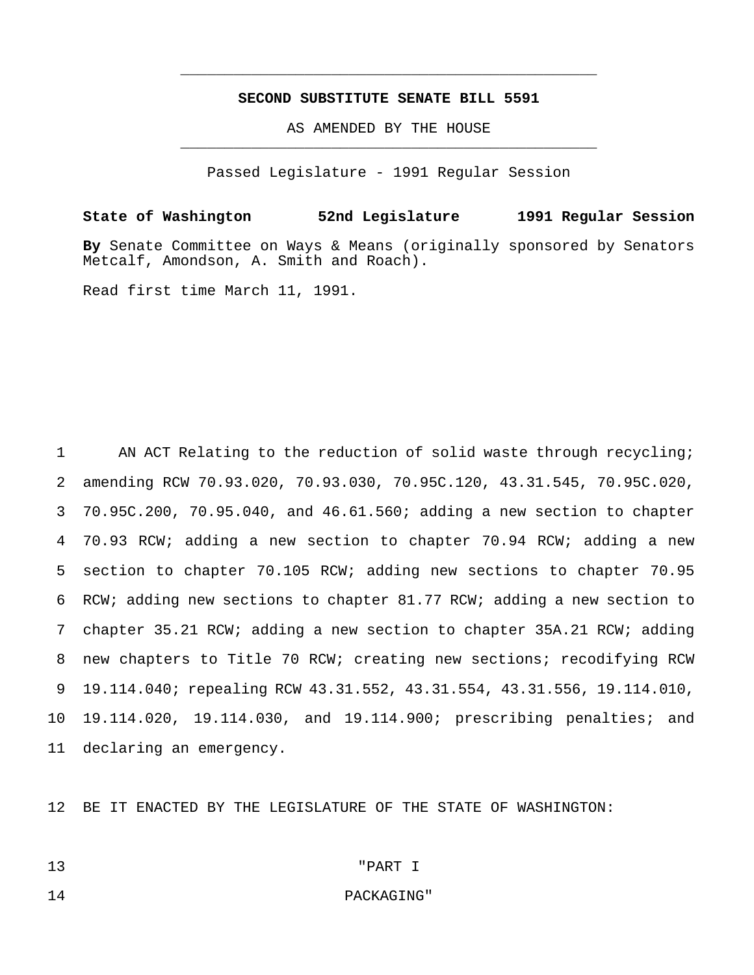## **SECOND SUBSTITUTE SENATE BILL 5591**

\_\_\_\_\_\_\_\_\_\_\_\_\_\_\_\_\_\_\_\_\_\_\_\_\_\_\_\_\_\_\_\_\_\_\_\_\_\_\_\_\_\_\_\_\_\_\_

AS AMENDED BY THE HOUSE \_\_\_\_\_\_\_\_\_\_\_\_\_\_\_\_\_\_\_\_\_\_\_\_\_\_\_\_\_\_\_\_\_\_\_\_\_\_\_\_\_\_\_\_\_\_\_

Passed Legislature - 1991 Regular Session

**State of Washington 52nd Legislature 1991 Regular Session By** Senate Committee on Ways & Means (originally sponsored by Senators Metcalf, Amondson, A. Smith and Roach).

Read first time March 11, 1991.

 AN ACT Relating to the reduction of solid waste through recycling; amending RCW 70.93.020, 70.93.030, 70.95C.120, 43.31.545, 70.95C.020, 70.95C.200, 70.95.040, and 46.61.560; adding a new section to chapter 70.93 RCW; adding a new section to chapter 70.94 RCW; adding a new section to chapter 70.105 RCW; adding new sections to chapter 70.95 RCW; adding new sections to chapter 81.77 RCW; adding a new section to chapter 35.21 RCW; adding a new section to chapter 35A.21 RCW; adding new chapters to Title 70 RCW; creating new sections; recodifying RCW 19.114.040; repealing RCW 43.31.552, 43.31.554, 43.31.556, 19.114.010, 19.114.020, 19.114.030, and 19.114.900; prescribing penalties; and declaring an emergency.

BE IT ENACTED BY THE LEGISLATURE OF THE STATE OF WASHINGTON:

# "PART I

## **PACKAGING**"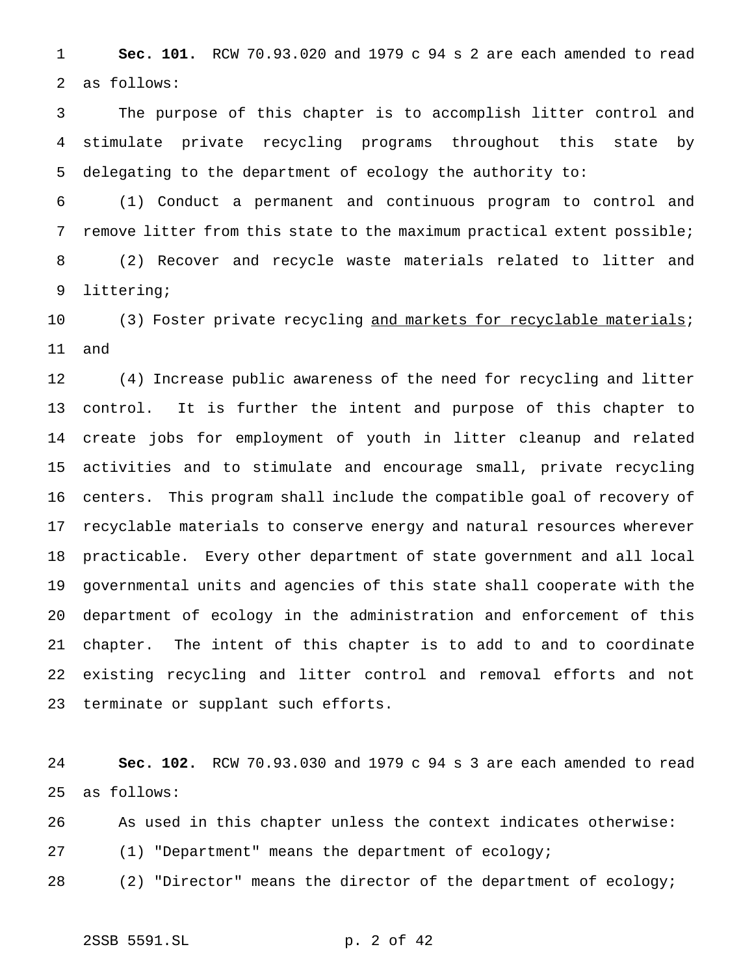**Sec. 101.** RCW 70.93.020 and 1979 c 94 s 2 are each amended to read as follows:

 The purpose of this chapter is to accomplish litter control and stimulate private recycling programs throughout this state by delegating to the department of ecology the authority to:

 (1) Conduct a permanent and continuous program to control and remove litter from this state to the maximum practical extent possible; (2) Recover and recycle waste materials related to litter and littering;

10 (3) Foster private recycling and markets for recyclable materials; and

 (4) Increase public awareness of the need for recycling and litter control. It is further the intent and purpose of this chapter to create jobs for employment of youth in litter cleanup and related activities and to stimulate and encourage small, private recycling centers. This program shall include the compatible goal of recovery of recyclable materials to conserve energy and natural resources wherever practicable. Every other department of state government and all local governmental units and agencies of this state shall cooperate with the department of ecology in the administration and enforcement of this chapter. The intent of this chapter is to add to and to coordinate existing recycling and litter control and removal efforts and not terminate or supplant such efforts.

 **Sec. 102.** RCW 70.93.030 and 1979 c 94 s 3 are each amended to read as follows:

As used in this chapter unless the context indicates otherwise:

(1) "Department" means the department of ecology;

(2) "Director" means the director of the department of ecology;

2SSB 5591.SL p. 2 of 42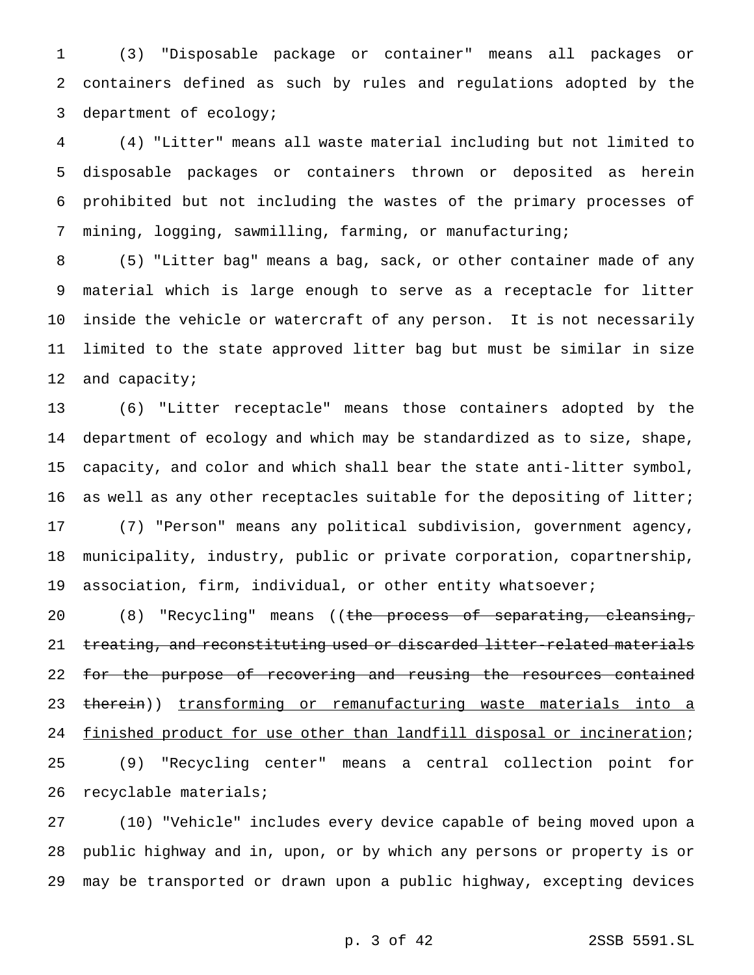(3) "Disposable package or container" means all packages or containers defined as such by rules and regulations adopted by the department of ecology;

 (4) "Litter" means all waste material including but not limited to disposable packages or containers thrown or deposited as herein prohibited but not including the wastes of the primary processes of mining, logging, sawmilling, farming, or manufacturing;

 (5) "Litter bag" means a bag, sack, or other container made of any material which is large enough to serve as a receptacle for litter inside the vehicle or watercraft of any person. It is not necessarily limited to the state approved litter bag but must be similar in size 12 and capacity;

 (6) "Litter receptacle" means those containers adopted by the department of ecology and which may be standardized as to size, shape, capacity, and color and which shall bear the state anti-litter symbol, 16 as well as any other receptacles suitable for the depositing of litter; (7) "Person" means any political subdivision, government agency, municipality, industry, public or private corporation, copartnership, association, firm, individual, or other entity whatsoever;

20 (8) "Recycling" means ((the process of separating, cleansing, 21 treating, and reconstituting used or discarded litter-related materials 22 for the purpose of recovering and reusing the resources contained 23 therein)) transforming or remanufacturing waste materials into a 24 finished product for use other than landfill disposal or incineration; (9) "Recycling center" means a central collection point for recyclable materials;

 (10) "Vehicle" includes every device capable of being moved upon a public highway and in, upon, or by which any persons or property is or may be transported or drawn upon a public highway, excepting devices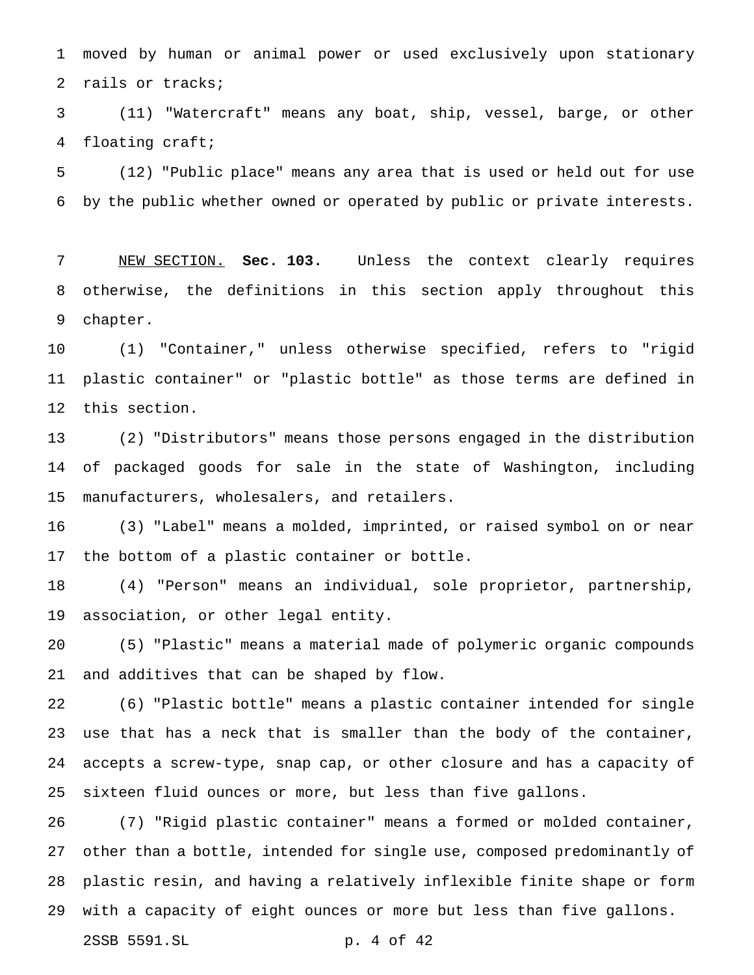moved by human or animal power or used exclusively upon stationary rails or tracks;

 (11) "Watercraft" means any boat, ship, vessel, barge, or other floating craft;

 (12) "Public place" means any area that is used or held out for use by the public whether owned or operated by public or private interests.

 NEW SECTION. **Sec. 103.** Unless the context clearly requires otherwise, the definitions in this section apply throughout this chapter.

 (1) "Container," unless otherwise specified, refers to "rigid plastic container" or "plastic bottle" as those terms are defined in this section.

 (2) "Distributors" means those persons engaged in the distribution of packaged goods for sale in the state of Washington, including manufacturers, wholesalers, and retailers.

 (3) "Label" means a molded, imprinted, or raised symbol on or near the bottom of a plastic container or bottle.

 (4) "Person" means an individual, sole proprietor, partnership, association, or other legal entity.

 (5) "Plastic" means a material made of polymeric organic compounds and additives that can be shaped by flow.

 (6) "Plastic bottle" means a plastic container intended for single use that has a neck that is smaller than the body of the container, accepts a screw-type, snap cap, or other closure and has a capacity of sixteen fluid ounces or more, but less than five gallons.

 (7) "Rigid plastic container" means a formed or molded container, other than a bottle, intended for single use, composed predominantly of plastic resin, and having a relatively inflexible finite shape or form with a capacity of eight ounces or more but less than five gallons.

2SSB 5591.SL p. 4 of 42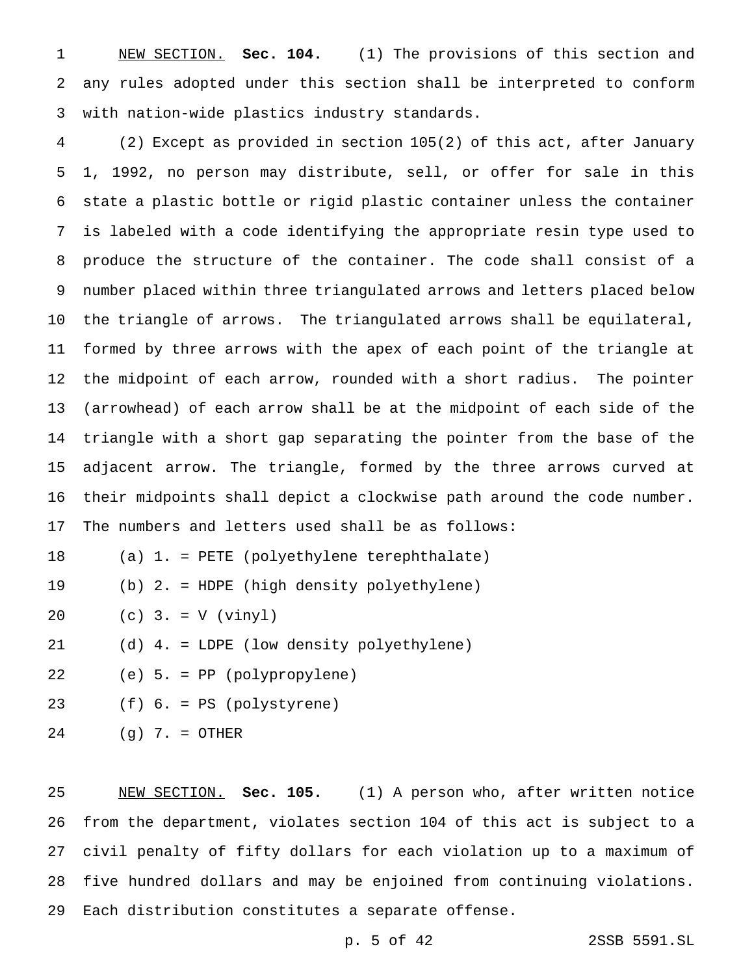NEW SECTION. **Sec. 104.** (1) The provisions of this section and any rules adopted under this section shall be interpreted to conform with nation-wide plastics industry standards.

 (2) Except as provided in section 105(2) of this act, after January 1, 1992, no person may distribute, sell, or offer for sale in this state a plastic bottle or rigid plastic container unless the container is labeled with a code identifying the appropriate resin type used to produce the structure of the container. The code shall consist of a number placed within three triangulated arrows and letters placed below the triangle of arrows. The triangulated arrows shall be equilateral, formed by three arrows with the apex of each point of the triangle at the midpoint of each arrow, rounded with a short radius. The pointer (arrowhead) of each arrow shall be at the midpoint of each side of the triangle with a short gap separating the pointer from the base of the adjacent arrow. The triangle, formed by the three arrows curved at their midpoints shall depict a clockwise path around the code number.

The numbers and letters used shall be as follows:

(a) 1. = PETE (polyethylene terephthalate)

(b) 2. = HDPE (high density polyethylene)

(c) 3. = V (vinyl)

(d) 4. = LDPE (low density polyethylene)

(e) 5. = PP (polypropylene)

(f) 6. = PS (polystyrene)

(g) 7. = OTHER

 NEW SECTION. **Sec. 105.** (1) A person who, after written notice from the department, violates section 104 of this act is subject to a civil penalty of fifty dollars for each violation up to a maximum of five hundred dollars and may be enjoined from continuing violations. Each distribution constitutes a separate offense.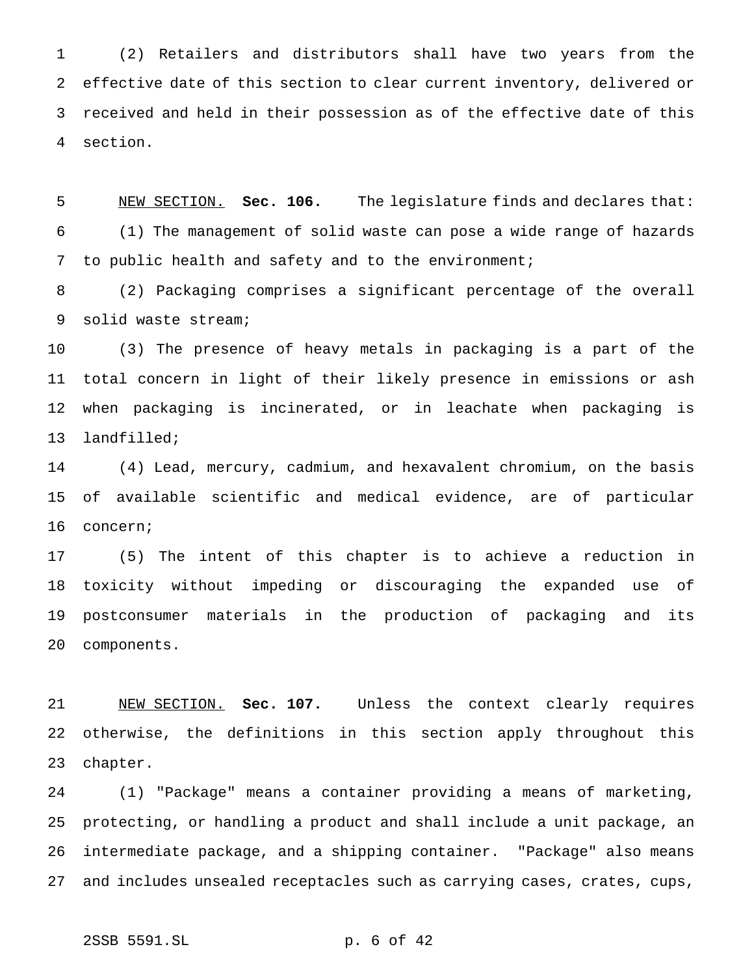(2) Retailers and distributors shall have two years from the effective date of this section to clear current inventory, delivered or received and held in their possession as of the effective date of this section.

 NEW SECTION. **Sec. 106.** The legislature finds and declares that: (1) The management of solid waste can pose a wide range of hazards to public health and safety and to the environment;

 (2) Packaging comprises a significant percentage of the overall solid waste stream;

 (3) The presence of heavy metals in packaging is a part of the total concern in light of their likely presence in emissions or ash when packaging is incinerated, or in leachate when packaging is landfilled;

 (4) Lead, mercury, cadmium, and hexavalent chromium, on the basis of available scientific and medical evidence, are of particular concern;

 (5) The intent of this chapter is to achieve a reduction in toxicity without impeding or discouraging the expanded use of postconsumer materials in the production of packaging and its components.

 NEW SECTION. **Sec. 107.** Unless the context clearly requires otherwise, the definitions in this section apply throughout this chapter.

 (1) "Package" means a container providing a means of marketing, protecting, or handling a product and shall include a unit package, an intermediate package, and a shipping container. "Package" also means and includes unsealed receptacles such as carrying cases, crates, cups,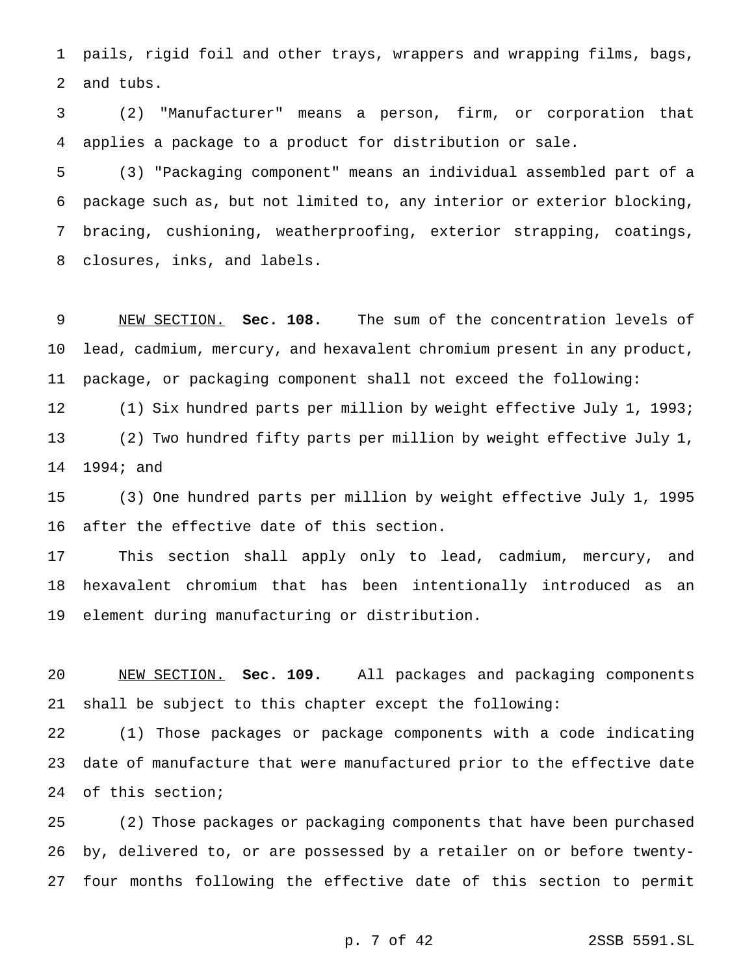pails, rigid foil and other trays, wrappers and wrapping films, bags, and tubs.

 (2) "Manufacturer" means a person, firm, or corporation that applies a package to a product for distribution or sale.

 (3) "Packaging component" means an individual assembled part of a package such as, but not limited to, any interior or exterior blocking, bracing, cushioning, weatherproofing, exterior strapping, coatings, closures, inks, and labels.

 NEW SECTION. **Sec. 108.** The sum of the concentration levels of lead, cadmium, mercury, and hexavalent chromium present in any product, package, or packaging component shall not exceed the following:

 (1) Six hundred parts per million by weight effective July 1, 1993; (2) Two hundred fifty parts per million by weight effective July 1, 1994; and

 (3) One hundred parts per million by weight effective July 1, 1995 after the effective date of this section.

 This section shall apply only to lead, cadmium, mercury, and hexavalent chromium that has been intentionally introduced as an element during manufacturing or distribution.

 NEW SECTION. **Sec. 109.** All packages and packaging components shall be subject to this chapter except the following:

 (1) Those packages or package components with a code indicating date of manufacture that were manufactured prior to the effective date of this section;

 (2) Those packages or packaging components that have been purchased by, delivered to, or are possessed by a retailer on or before twenty-four months following the effective date of this section to permit

p. 7 of 42 2SSB 5591.SL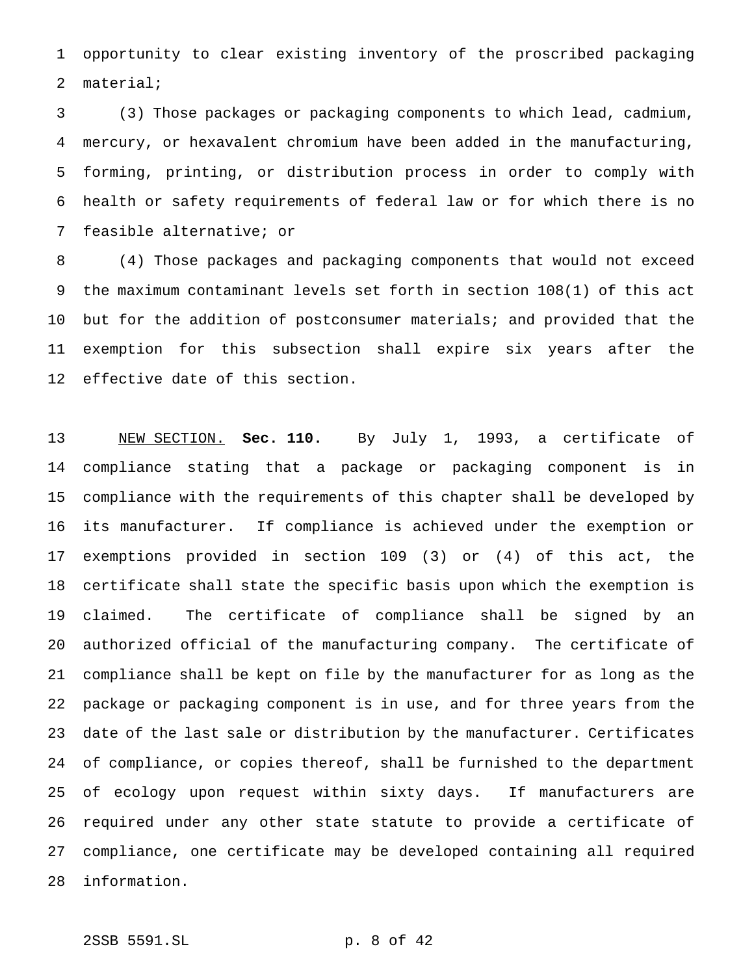opportunity to clear existing inventory of the proscribed packaging material;

 (3) Those packages or packaging components to which lead, cadmium, mercury, or hexavalent chromium have been added in the manufacturing, forming, printing, or distribution process in order to comply with health or safety requirements of federal law or for which there is no feasible alternative; or

 (4) Those packages and packaging components that would not exceed the maximum contaminant levels set forth in section 108(1) of this act but for the addition of postconsumer materials; and provided that the exemption for this subsection shall expire six years after the effective date of this section.

 NEW SECTION. **Sec. 110.** By July 1, 1993, a certificate of compliance stating that a package or packaging component is in compliance with the requirements of this chapter shall be developed by its manufacturer. If compliance is achieved under the exemption or exemptions provided in section 109 (3) or (4) of this act, the certificate shall state the specific basis upon which the exemption is claimed. The certificate of compliance shall be signed by an authorized official of the manufacturing company. The certificate of compliance shall be kept on file by the manufacturer for as long as the package or packaging component is in use, and for three years from the date of the last sale or distribution by the manufacturer. Certificates of compliance, or copies thereof, shall be furnished to the department of ecology upon request within sixty days. If manufacturers are required under any other state statute to provide a certificate of compliance, one certificate may be developed containing all required information.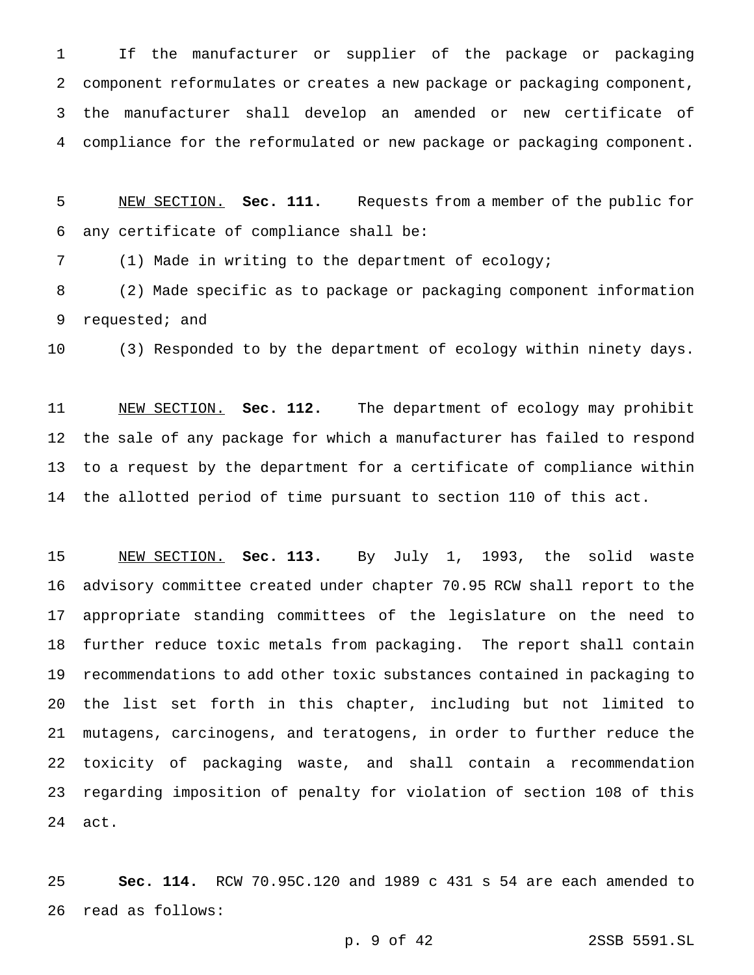If the manufacturer or supplier of the package or packaging component reformulates or creates a new package or packaging component, the manufacturer shall develop an amended or new certificate of compliance for the reformulated or new package or packaging component.

 NEW SECTION. **Sec. 111.** Requests from a member of the public for any certificate of compliance shall be:

(1) Made in writing to the department of ecology;

 (2) Made specific as to package or packaging component information requested; and

(3) Responded to by the department of ecology within ninety days.

 NEW SECTION. **Sec. 112.** The department of ecology may prohibit the sale of any package for which a manufacturer has failed to respond to a request by the department for a certificate of compliance within the allotted period of time pursuant to section 110 of this act.

 NEW SECTION. **Sec. 113.** By July 1, 1993, the solid waste advisory committee created under chapter 70.95 RCW shall report to the appropriate standing committees of the legislature on the need to further reduce toxic metals from packaging. The report shall contain recommendations to add other toxic substances contained in packaging to the list set forth in this chapter, including but not limited to mutagens, carcinogens, and teratogens, in order to further reduce the toxicity of packaging waste, and shall contain a recommendation regarding imposition of penalty for violation of section 108 of this act.

 **Sec. 114.** RCW 70.95C.120 and 1989 c 431 s 54 are each amended to read as follows:

p. 9 of 42 2SSB 5591.SL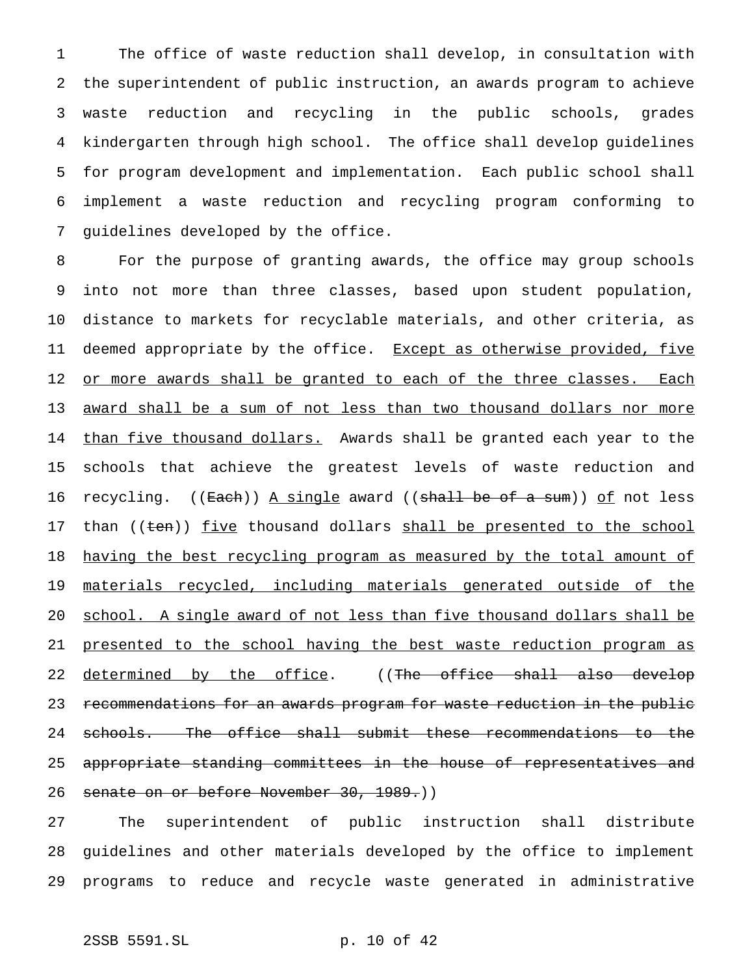The office of waste reduction shall develop, in consultation with the superintendent of public instruction, an awards program to achieve waste reduction and recycling in the public schools, grades kindergarten through high school. The office shall develop guidelines for program development and implementation. Each public school shall implement a waste reduction and recycling program conforming to guidelines developed by the office.

8 For the purpose of granting awards, the office may group schools 9 into not more than three classes, based upon student population, 10 distance to markets for recyclable materials, and other criteria, as 11 deemed appropriate by the office. Except as otherwise provided, five 12 or more awards shall be granted to each of the three classes. Each 13 award shall be a sum of not less than two thousand dollars nor more 14 than five thousand dollars. Awards shall be granted each year to the 15 schools that achieve the greatest levels of waste reduction and 16 recycling. ((<del>Each</del>)) <u>A single</u> award ((<del>shall be of a sum</del>)) <u>of</u> not less 17 than ((ten)) five thousand dollars shall be presented to the school 18 having the best recycling program as measured by the total amount of 19 materials recycled, including materials generated outside of the 20 school. A single award of not less than five thousand dollars shall be 21 presented to the school having the best waste reduction program as 22 determined by the office. ((The office shall also develop 23 recommendations for an awards program for waste reduction in the public 24 schools. The office shall submit these recommendations to the 25 appropriate standing committees in the house of representatives and 26 senate on or before November 30, 1989.)

27 The superintendent of public instruction shall distribute 28 guidelines and other materials developed by the office to implement 29 programs to reduce and recycle waste generated in administrative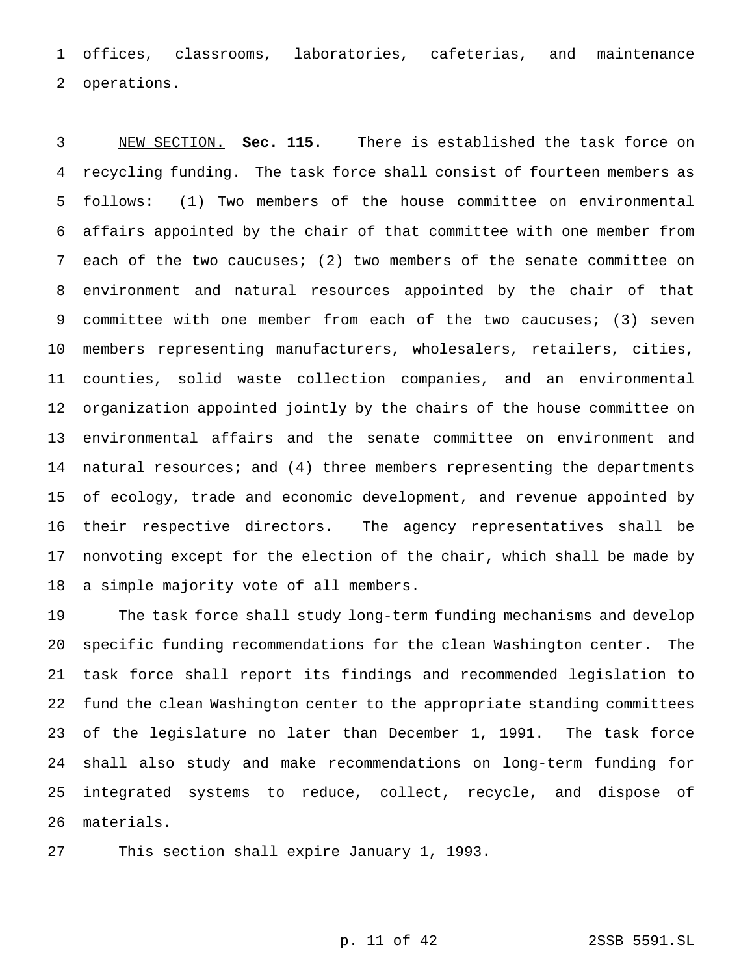offices, classrooms, laboratories, cafeterias, and maintenance operations.

 NEW SECTION. **Sec. 115.** There is established the task force on recycling funding. The task force shall consist of fourteen members as follows: (1) Two members of the house committee on environmental affairs appointed by the chair of that committee with one member from each of the two caucuses; (2) two members of the senate committee on environment and natural resources appointed by the chair of that committee with one member from each of the two caucuses; (3) seven members representing manufacturers, wholesalers, retailers, cities, counties, solid waste collection companies, and an environmental organization appointed jointly by the chairs of the house committee on environmental affairs and the senate committee on environment and 14 natural resources; and (4) three members representing the departments of ecology, trade and economic development, and revenue appointed by their respective directors. The agency representatives shall be nonvoting except for the election of the chair, which shall be made by a simple majority vote of all members.

 The task force shall study long-term funding mechanisms and develop specific funding recommendations for the clean Washington center. The task force shall report its findings and recommended legislation to fund the clean Washington center to the appropriate standing committees of the legislature no later than December 1, 1991. The task force shall also study and make recommendations on long-term funding for integrated systems to reduce, collect, recycle, and dispose of materials.

This section shall expire January 1, 1993.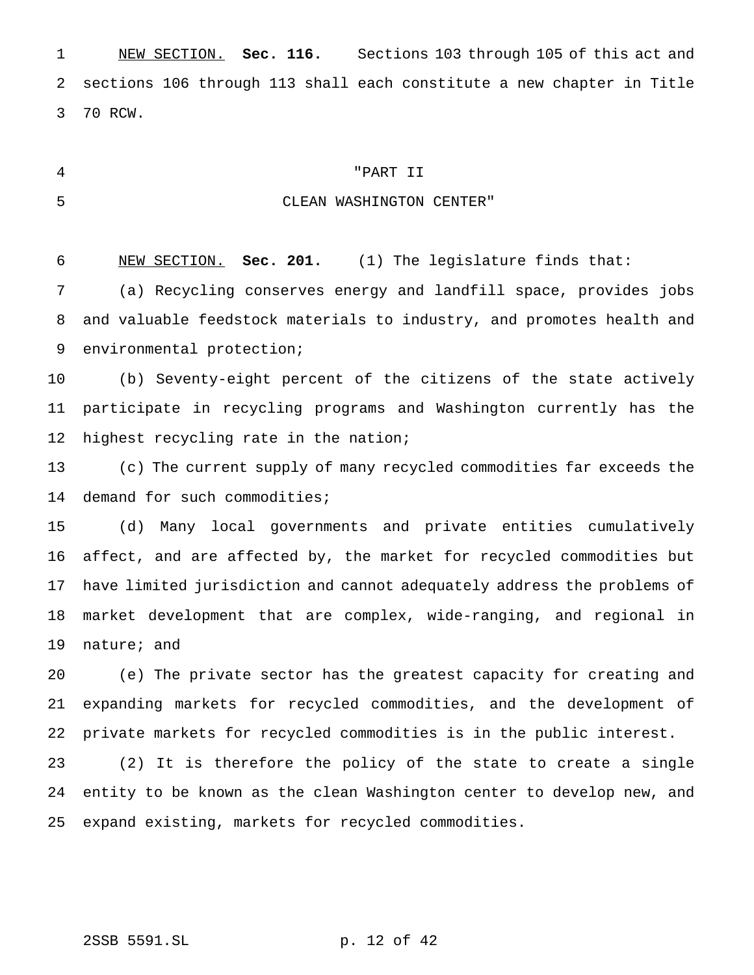NEW SECTION. **Sec. 116.** Sections 103 through 105 of this act and sections 106 through 113 shall each constitute a new chapter in Title 70 RCW.

### "PART II

## CLEAN WASHINGTON CENTER"

NEW SECTION. **Sec. 201.** (1) The legislature finds that:

 (a) Recycling conserves energy and landfill space, provides jobs and valuable feedstock materials to industry, and promotes health and environmental protection;

 (b) Seventy-eight percent of the citizens of the state actively participate in recycling programs and Washington currently has the 12 highest recycling rate in the nation;

 (c) The current supply of many recycled commodities far exceeds the 14 demand for such commodities;

 (d) Many local governments and private entities cumulatively affect, and are affected by, the market for recycled commodities but have limited jurisdiction and cannot adequately address the problems of market development that are complex, wide-ranging, and regional in nature; and

 (e) The private sector has the greatest capacity for creating and expanding markets for recycled commodities, and the development of private markets for recycled commodities is in the public interest.

 (2) It is therefore the policy of the state to create a single entity to be known as the clean Washington center to develop new, and expand existing, markets for recycled commodities.

## 2SSB 5591.SL p. 12 of 42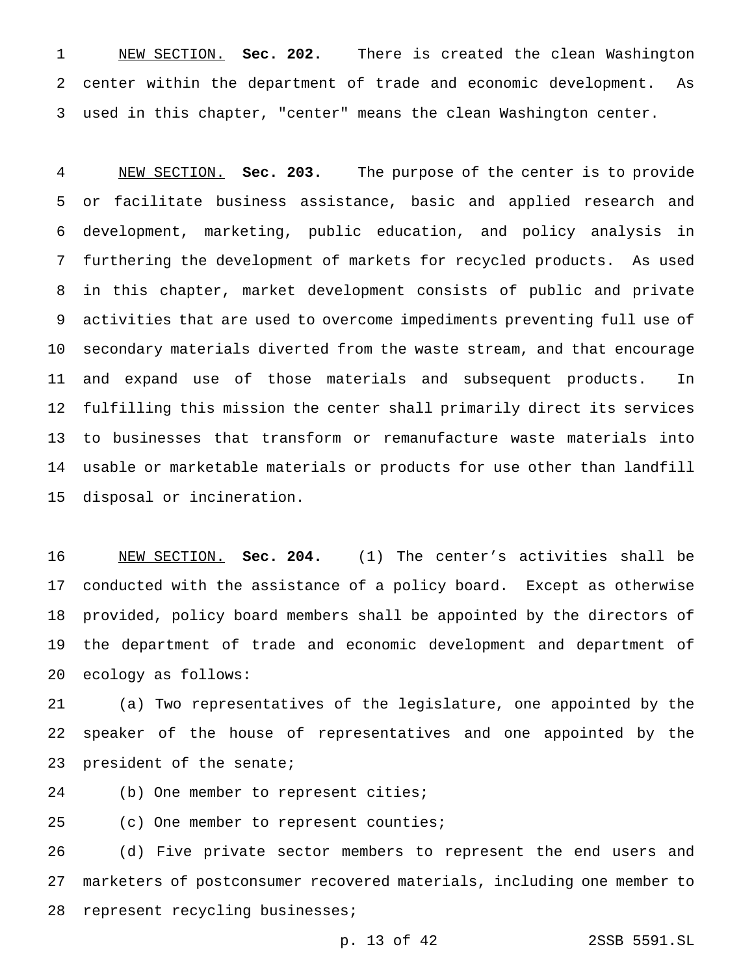NEW SECTION. **Sec. 202.** There is created the clean Washington center within the department of trade and economic development. As used in this chapter, "center" means the clean Washington center.

 NEW SECTION. **Sec. 203.** The purpose of the center is to provide or facilitate business assistance, basic and applied research and development, marketing, public education, and policy analysis in furthering the development of markets for recycled products. As used in this chapter, market development consists of public and private activities that are used to overcome impediments preventing full use of secondary materials diverted from the waste stream, and that encourage and expand use of those materials and subsequent products. In fulfilling this mission the center shall primarily direct its services to businesses that transform or remanufacture waste materials into usable or marketable materials or products for use other than landfill disposal or incineration.

 NEW SECTION. **Sec. 204.** (1) The center's activities shall be conducted with the assistance of a policy board. Except as otherwise provided, policy board members shall be appointed by the directors of the department of trade and economic development and department of ecology as follows:

 (a) Two representatives of the legislature, one appointed by the speaker of the house of representatives and one appointed by the president of the senate;

(b) One member to represent cities;

25 (c) One member to represent counties;

 (d) Five private sector members to represent the end users and marketers of postconsumer recovered materials, including one member to represent recycling businesses;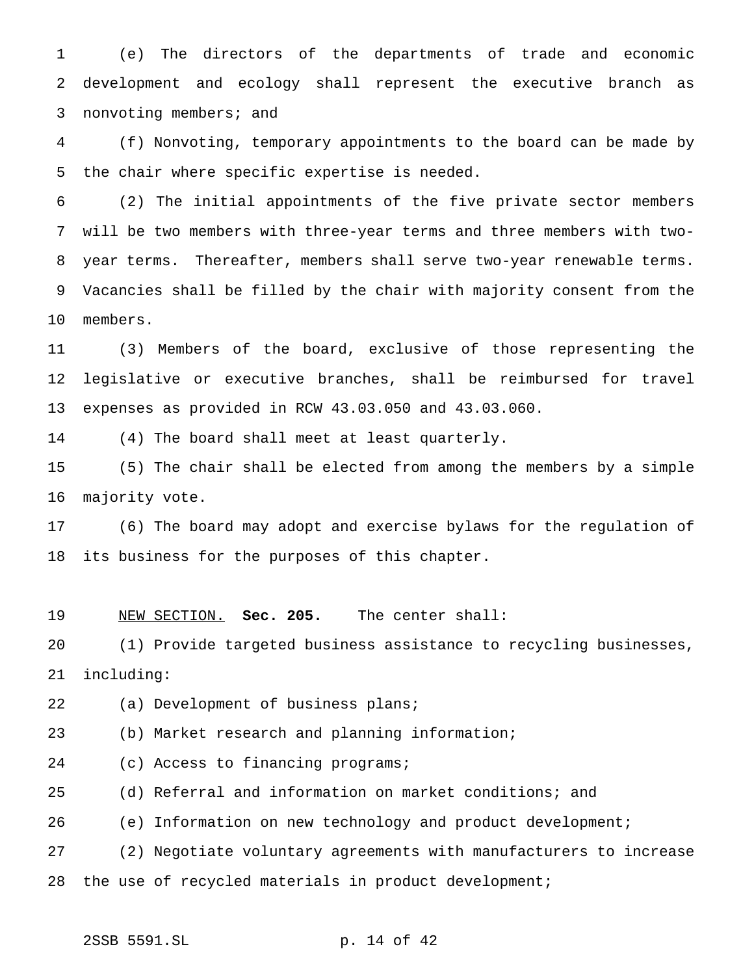(e) The directors of the departments of trade and economic development and ecology shall represent the executive branch as nonvoting members; and

 (f) Nonvoting, temporary appointments to the board can be made by the chair where specific expertise is needed.

 (2) The initial appointments of the five private sector members will be two members with three-year terms and three members with two- year terms. Thereafter, members shall serve two-year renewable terms. Vacancies shall be filled by the chair with majority consent from the members.

 (3) Members of the board, exclusive of those representing the legislative or executive branches, shall be reimbursed for travel expenses as provided in RCW 43.03.050 and 43.03.060.

(4) The board shall meet at least quarterly.

 (5) The chair shall be elected from among the members by a simple majority vote.

 (6) The board may adopt and exercise bylaws for the regulation of its business for the purposes of this chapter.

NEW SECTION. **Sec. 205.** The center shall:

 (1) Provide targeted business assistance to recycling businesses, including:

(a) Development of business plans;

(b) Market research and planning information;

24 (c) Access to financing programs;

(d) Referral and information on market conditions; and

(e) Information on new technology and product development;

 (2) Negotiate voluntary agreements with manufacturers to increase 28 the use of recycled materials in product development;

2SSB 5591.SL p. 14 of 42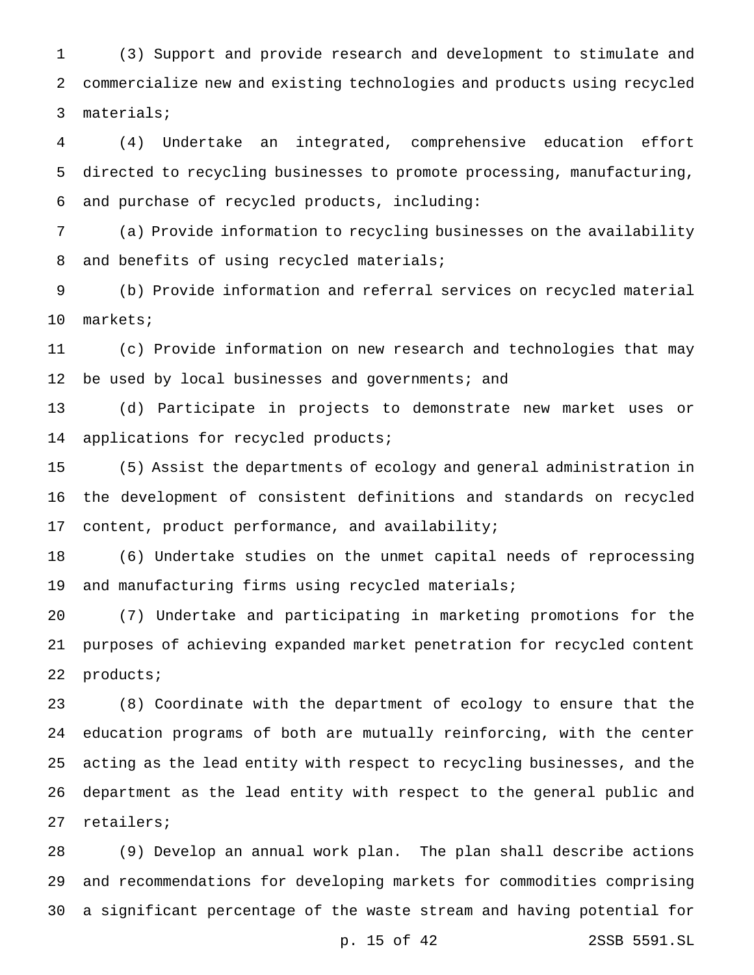(3) Support and provide research and development to stimulate and commercialize new and existing technologies and products using recycled materials;

 (4) Undertake an integrated, comprehensive education effort directed to recycling businesses to promote processing, manufacturing, and purchase of recycled products, including:

 (a) Provide information to recycling businesses on the availability 8 and benefits of using recycled materials;

 (b) Provide information and referral services on recycled material markets;

 (c) Provide information on new research and technologies that may 12 be used by local businesses and governments; and

 (d) Participate in projects to demonstrate new market uses or applications for recycled products;

 (5) Assist the departments of ecology and general administration in the development of consistent definitions and standards on recycled content, product performance, and availability;

 (6) Undertake studies on the unmet capital needs of reprocessing and manufacturing firms using recycled materials;

 (7) Undertake and participating in marketing promotions for the purposes of achieving expanded market penetration for recycled content products;

 (8) Coordinate with the department of ecology to ensure that the education programs of both are mutually reinforcing, with the center acting as the lead entity with respect to recycling businesses, and the department as the lead entity with respect to the general public and retailers;

 (9) Develop an annual work plan. The plan shall describe actions and recommendations for developing markets for commodities comprising a significant percentage of the waste stream and having potential for

p. 15 of 42 2SSB 5591.SL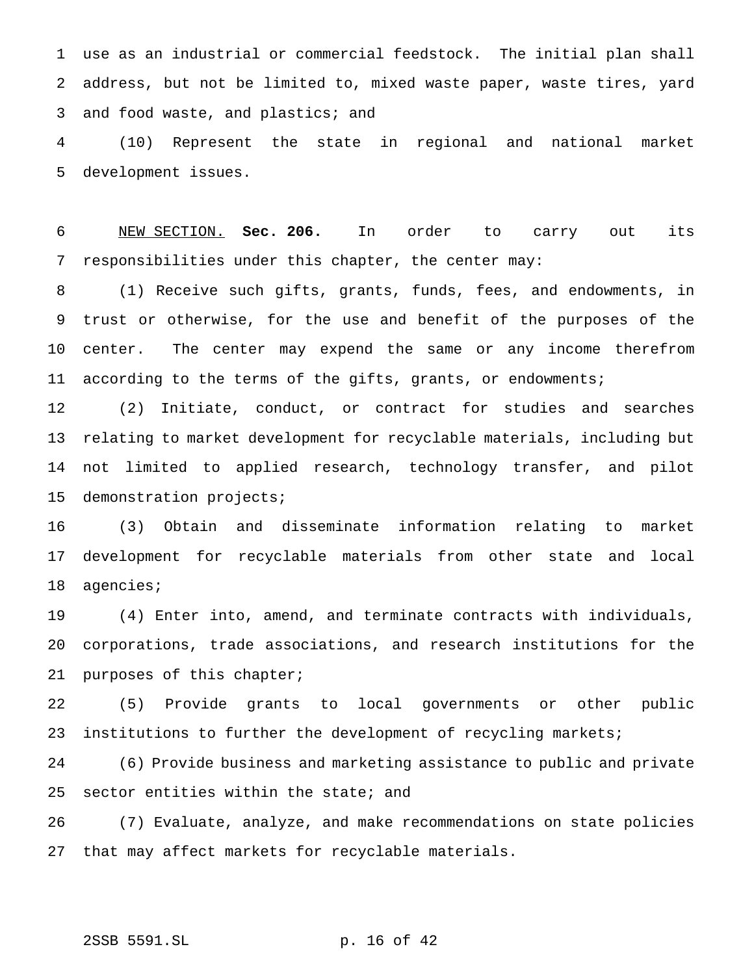use as an industrial or commercial feedstock. The initial plan shall address, but not be limited to, mixed waste paper, waste tires, yard 3 and food waste, and plastics; and

 (10) Represent the state in regional and national market development issues.

 NEW SECTION. **Sec. 206.** In order to carry out its responsibilities under this chapter, the center may:

 (1) Receive such gifts, grants, funds, fees, and endowments, in trust or otherwise, for the use and benefit of the purposes of the center. The center may expend the same or any income therefrom according to the terms of the gifts, grants, or endowments;

 (2) Initiate, conduct, or contract for studies and searches relating to market development for recyclable materials, including but not limited to applied research, technology transfer, and pilot demonstration projects;

 (3) Obtain and disseminate information relating to market development for recyclable materials from other state and local agencies;

 (4) Enter into, amend, and terminate contracts with individuals, corporations, trade associations, and research institutions for the purposes of this chapter;

 (5) Provide grants to local governments or other public institutions to further the development of recycling markets;

 (6) Provide business and marketing assistance to public and private sector entities within the state; and

 (7) Evaluate, analyze, and make recommendations on state policies that may affect markets for recyclable materials.

## 2SSB 5591.SL p. 16 of 42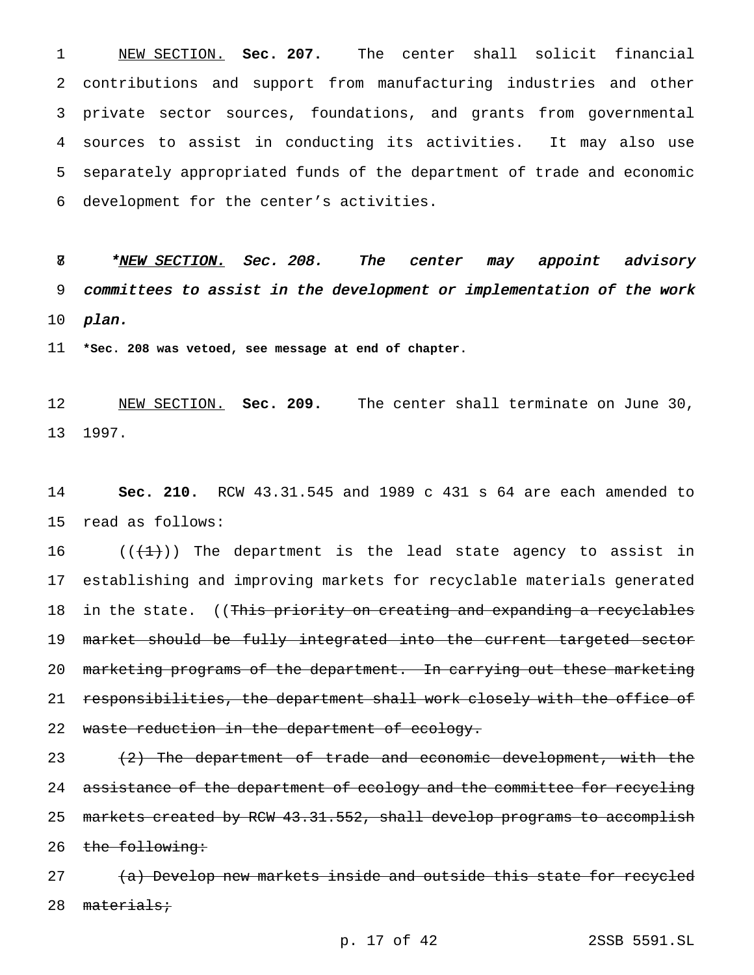NEW SECTION. **Sec. 207.** The center shall solicit financial contributions and support from manufacturing industries and other private sector sources, foundations, and grants from governmental sources to assist in conducting its activities. It may also use separately appropriated funds of the department of trade and economic development for the center's activities.

8 \*NEW SECTION. Sec. 208. The center may appoint advisory committees to assist in the development or implementation of the work plan.

**\*Sec. 208 was vetoed, see message at end of chapter.**

 NEW SECTION. **Sec. 209.** The center shall terminate on June 30, 1997.

 **Sec. 210.** RCW 43.31.545 and 1989 c 431 s 64 are each amended to read as follows:

 $((+1))$  The department is the lead state agency to assist in establishing and improving markets for recyclable materials generated 18 in the state. ((This priority on creating and expanding a recyclables 19 market should be fully integrated into the current targeted sector marketing programs of the department. In carrying out these marketing 21 responsibilities, the department shall work closely with the office of 22 waste reduction in the department of ecology.

 (2) The department of trade and economic development, with the 24 assistance of the department of ecology and the committee for recycling 25 markets created by RCW 43.31.552, shall develop programs to accomplish 26 the following:

27 (a) Develop new markets inside and outside this state for recycled 28 materials;

p. 17 of 42 2SSB 5591.SL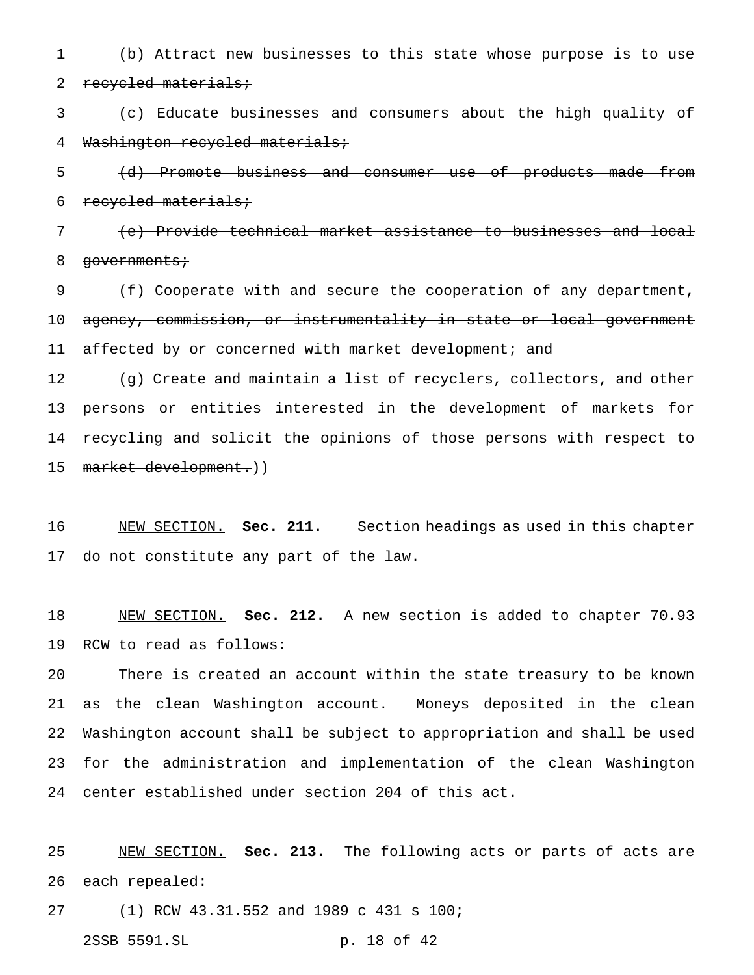(b) Attract new businesses to this state whose purpose is to use

2 recycled materials;

3 (c) Educate businesses and consumers about the high quality of Washington recycled materials;

 (d) Promote business and consumer use of products made from recycled materials;

 (e) Provide technical market assistance to businesses and local 8 governments;

9 (f) Cooperate with and secure the cooperation of any department, agency, commission, or instrumentality in state or local government 11 affected by or concerned with market development; and 12 (g) Create and maintain a list of recyclers, collectors, and other persons or entities interested in the development of markets for

 recycling and solicit the opinions of those persons with respect to market development.))

 NEW SECTION. **Sec. 211.** Section headings as used in this chapter do not constitute any part of the law.

 NEW SECTION. **Sec. 212.** A new section is added to chapter 70.93 RCW to read as follows:

 There is created an account within the state treasury to be known as the clean Washington account. Moneys deposited in the clean Washington account shall be subject to appropriation and shall be used for the administration and implementation of the clean Washington center established under section 204 of this act.

 NEW SECTION. **Sec. 213.** The following acts or parts of acts are each repealed:

(1) RCW 43.31.552 and 1989 c 431 s 100;

2SSB 5591.SL p. 18 of 42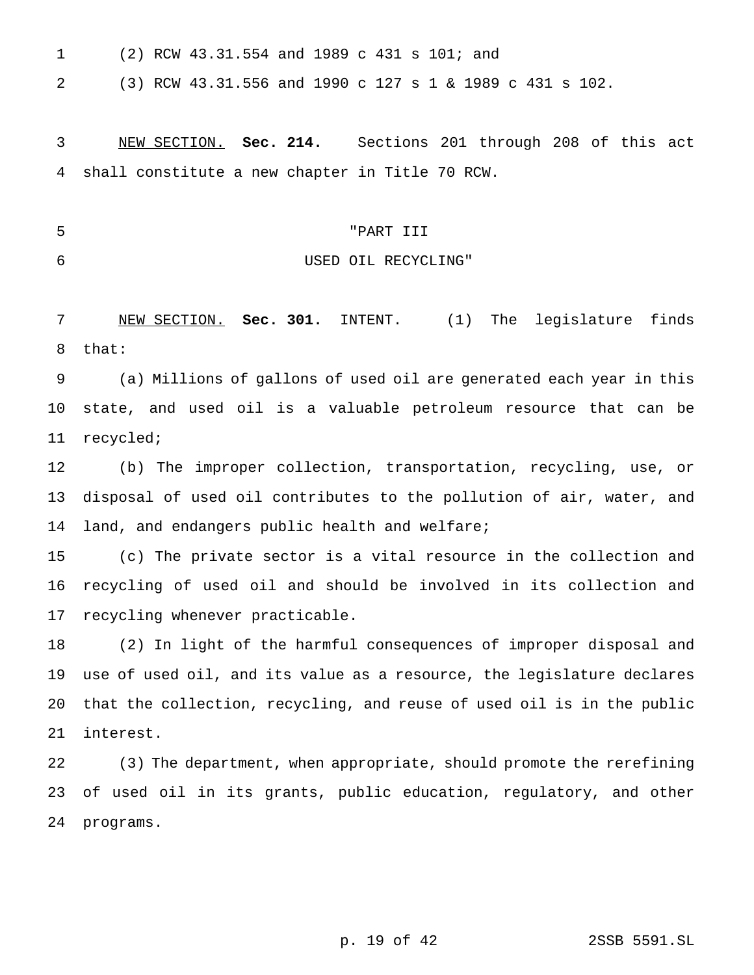(2) RCW 43.31.554 and 1989 c 431 s 101; and

(3) RCW 43.31.556 and 1990 c 127s1& 1989 c 431 s 102.

 NEW SECTION. **Sec. 214.** Sections 201 through 208 of this act shall constitute a new chapter in Title 70 RCW.

# "PART III

USED OIL RECYCLING"

 NEW SECTION. **Sec. 301.** INTENT. (1) The legislature finds that:

 (a) Millions of gallons of used oil are generated each year in this state, and used oil is a valuable petroleum resource that can be recycled;

 (b) The improper collection, transportation, recycling, use, or disposal of used oil contributes to the pollution of air, water, and land, and endangers public health and welfare;

 (c) The private sector is a vital resource in the collection and recycling of used oil and should be involved in its collection and recycling whenever practicable.

 (2) In light of the harmful consequences of improper disposal and use of used oil, and its value as a resource, the legislature declares that the collection, recycling, and reuse of used oil is in the public interest.

 (3) The department, when appropriate, should promote the rerefining of used oil in its grants, public education, regulatory, and other programs.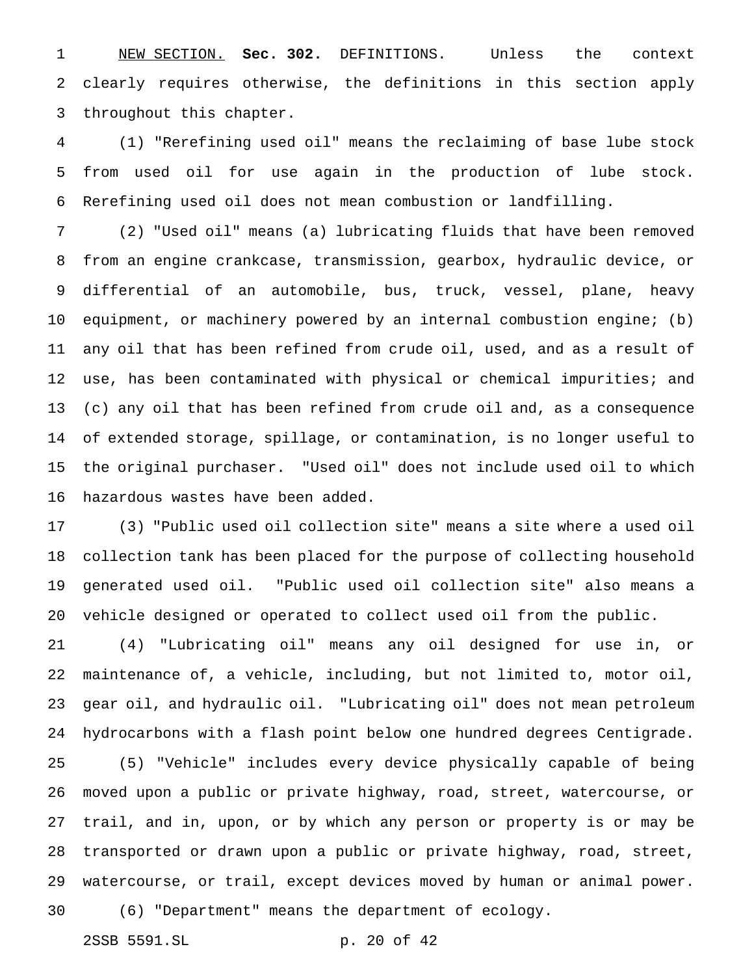NEW SECTION. **Sec. 302.** DEFINITIONS. Unless the context clearly requires otherwise, the definitions in this section apply throughout this chapter.

 (1) "Rerefining used oil" means the reclaiming of base lube stock from used oil for use again in the production of lube stock. Rerefining used oil does not mean combustion or landfilling.

 (2) "Used oil" means (a) lubricating fluids that have been removed from an engine crankcase, transmission, gearbox, hydraulic device, or differential of an automobile, bus, truck, vessel, plane, heavy equipment, or machinery powered by an internal combustion engine; (b) any oil that has been refined from crude oil, used, and as a result of use, has been contaminated with physical or chemical impurities; and (c) any oil that has been refined from crude oil and, as a consequence of extended storage, spillage, or contamination, is no longer useful to the original purchaser. "Used oil" does not include used oil to which hazardous wastes have been added.

 (3) "Public used oil collection site" means a site where a used oil collection tank has been placed for the purpose of collecting household generated used oil. "Public used oil collection site" also means a vehicle designed or operated to collect used oil from the public.

 (4) "Lubricating oil" means any oil designed for use in, or maintenance of, a vehicle, including, but not limited to, motor oil, gear oil, and hydraulic oil. "Lubricating oil" does not mean petroleum hydrocarbons with a flash point below one hundred degrees Centigrade. (5) "Vehicle" includes every device physically capable of being moved upon a public or private highway, road, street, watercourse, or trail, and in, upon, or by which any person or property is or may be transported or drawn upon a public or private highway, road, street, watercourse, or trail, except devices moved by human or animal power.

(6) "Department" means the department of ecology.

2SSB 5591.SL p. 20 of 42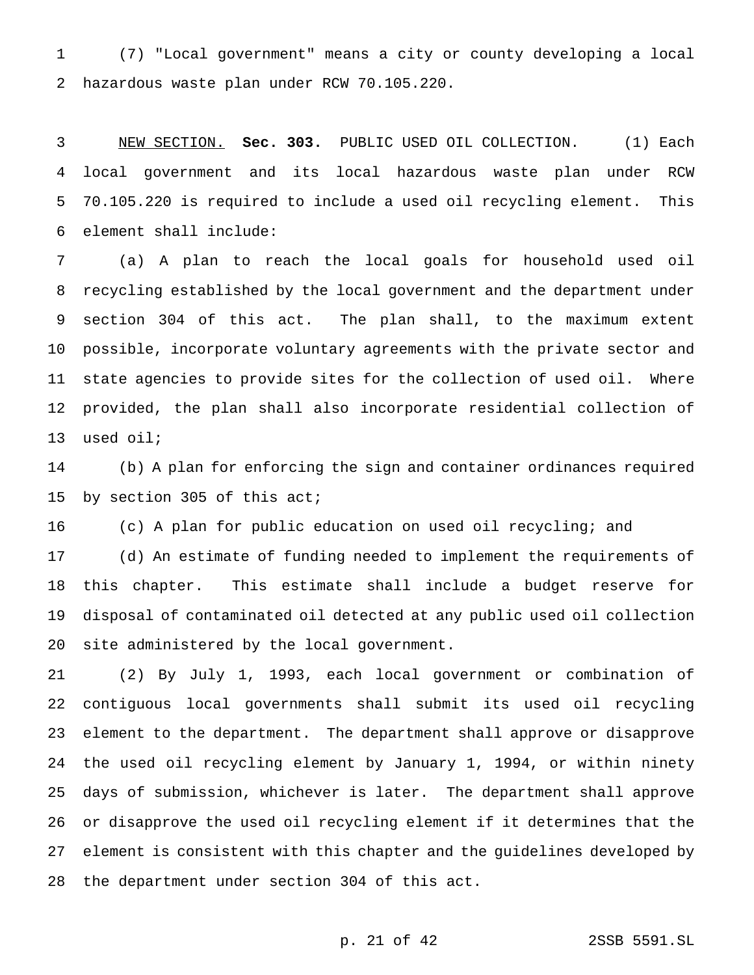(7) "Local government" means a city or county developing a local hazardous waste plan under RCW 70.105.220.

 NEW SECTION. **Sec. 303.** PUBLIC USED OIL COLLECTION. (1) Each local government and its local hazardous waste plan under RCW 70.105.220 is required to include a used oil recycling element. This element shall include:

 (a) A plan to reach the local goals for household used oil recycling established by the local government and the department under section 304 of this act. The plan shall, to the maximum extent possible, incorporate voluntary agreements with the private sector and state agencies to provide sites for the collection of used oil. Where provided, the plan shall also incorporate residential collection of used oil;

 (b) A plan for enforcing the sign and container ordinances required by section 305 of this act;

(c) A plan for public education on used oil recycling; and

 (d) An estimate of funding needed to implement the requirements of this chapter. This estimate shall include a budget reserve for disposal of contaminated oil detected at any public used oil collection site administered by the local government.

 (2) By July 1, 1993, each local government or combination of contiguous local governments shall submit its used oil recycling element to the department. The department shall approve or disapprove the used oil recycling element by January 1, 1994, or within ninety days of submission, whichever is later. The department shall approve or disapprove the used oil recycling element if it determines that the element is consistent with this chapter and the guidelines developed by the department under section 304 of this act.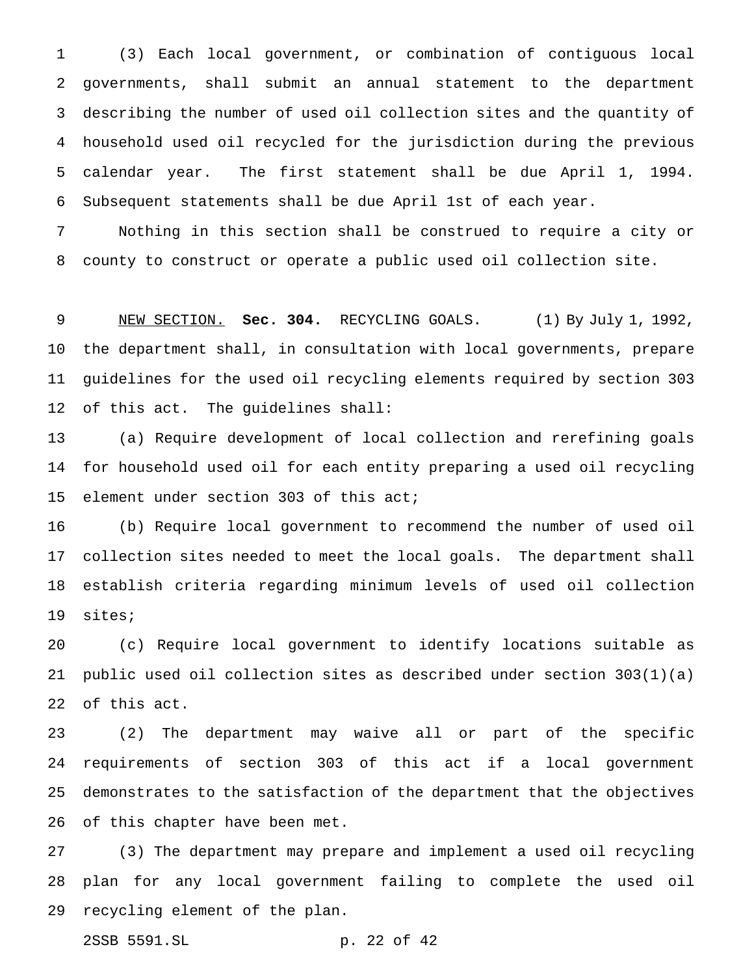(3) Each local government, or combination of contiguous local governments, shall submit an annual statement to the department describing the number of used oil collection sites and the quantity of household used oil recycled for the jurisdiction during the previous calendar year. The first statement shall be due April 1, 1994. Subsequent statements shall be due April 1st of each year.

 Nothing in this section shall be construed to require a city or county to construct or operate a public used oil collection site.

 NEW SECTION. **Sec. 304.** RECYCLING GOALS. (1) By July 1, 1992, the department shall, in consultation with local governments, prepare guidelines for the used oil recycling elements required by section 303 of this act. The guidelines shall:

 (a) Require development of local collection and rerefining goals for household used oil for each entity preparing a used oil recycling element under section 303 of this act;

 (b) Require local government to recommend the number of used oil collection sites needed to meet the local goals. The department shall establish criteria regarding minimum levels of used oil collection sites;

 (c) Require local government to identify locations suitable as public used oil collection sites as described under section 303(1)(a) of this act.

 (2) The department may waive all or part of the specific requirements of section 303 of this act if a local government demonstrates to the satisfaction of the department that the objectives of this chapter have been met.

 (3) The department may prepare and implement a used oil recycling plan for any local government failing to complete the used oil recycling element of the plan.

2SSB 5591.SL p. 22 of 42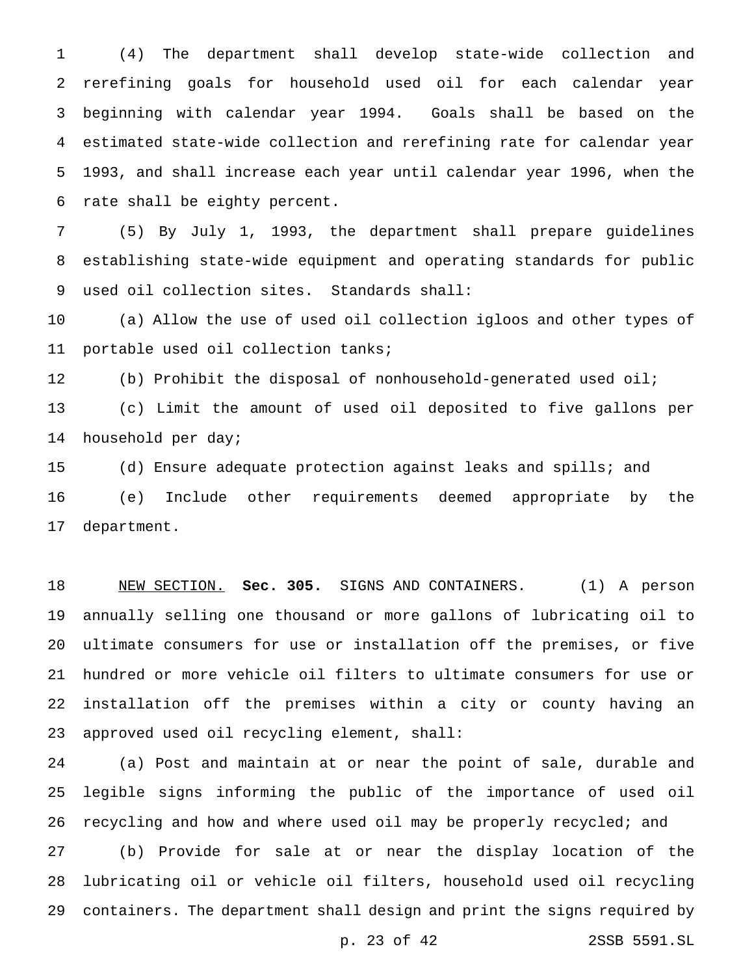(4) The department shall develop state-wide collection and rerefining goals for household used oil for each calendar year beginning with calendar year 1994. Goals shall be based on the estimated state-wide collection and rerefining rate for calendar year 1993, and shall increase each year until calendar year 1996, when the rate shall be eighty percent.

 (5) By July 1, 1993, the department shall prepare guidelines establishing state-wide equipment and operating standards for public used oil collection sites. Standards shall:

 (a) Allow the use of used oil collection igloos and other types of portable used oil collection tanks;

 (b) Prohibit the disposal of nonhousehold-generated used oil; (c) Limit the amount of used oil deposited to five gallons per household per day;

 (d) Ensure adequate protection against leaks and spills; and (e) Include other requirements deemed appropriate by the department.

 NEW SECTION. **Sec. 305.** SIGNS AND CONTAINERS. (1) A person annually selling one thousand or more gallons of lubricating oil to ultimate consumers for use or installation off the premises, or five hundred or more vehicle oil filters to ultimate consumers for use or installation off the premises within a city or county having an approved used oil recycling element, shall:

 (a) Post and maintain at or near the point of sale, durable and legible signs informing the public of the importance of used oil recycling and how and where used oil may be properly recycled; and

 (b) Provide for sale at or near the display location of the lubricating oil or vehicle oil filters, household used oil recycling containers. The department shall design and print the signs required by

p. 23 of 42 2SSB 5591.SL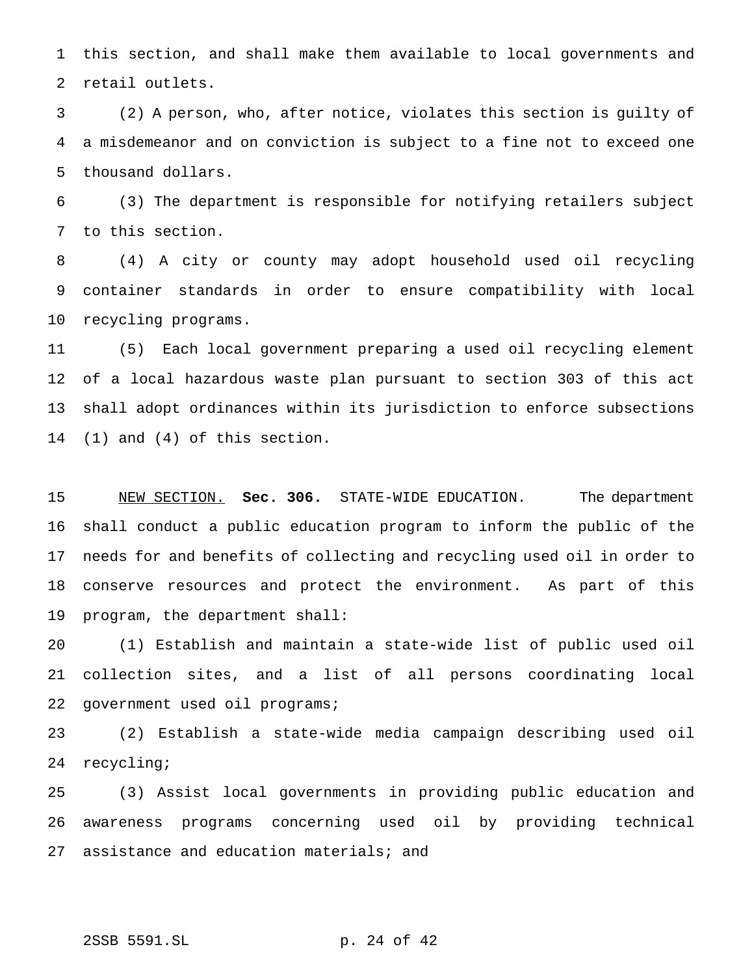this section, and shall make them available to local governments and retail outlets.

 (2) A person, who, after notice, violates this section is guilty of a misdemeanor and on conviction is subject to a fine not to exceed one thousand dollars.

 (3) The department is responsible for notifying retailers subject to this section.

 (4) A city or county may adopt household used oil recycling container standards in order to ensure compatibility with local recycling programs.

 (5) Each local government preparing a used oil recycling element of a local hazardous waste plan pursuant to section 303 of this act shall adopt ordinances within its jurisdiction to enforce subsections (1) and (4) of this section.

 NEW SECTION. **Sec. 306.** STATE-WIDE EDUCATION. The department shall conduct a public education program to inform the public of the needs for and benefits of collecting and recycling used oil in order to conserve resources and protect the environment. As part of this program, the department shall:

 (1) Establish and maintain a state-wide list of public used oil collection sites, and a list of all persons coordinating local government used oil programs;

 (2) Establish a state-wide media campaign describing used oil recycling;

 (3) Assist local governments in providing public education and awareness programs concerning used oil by providing technical 27 assistance and education materials; and

# 2SSB 5591.SL p. 24 of 42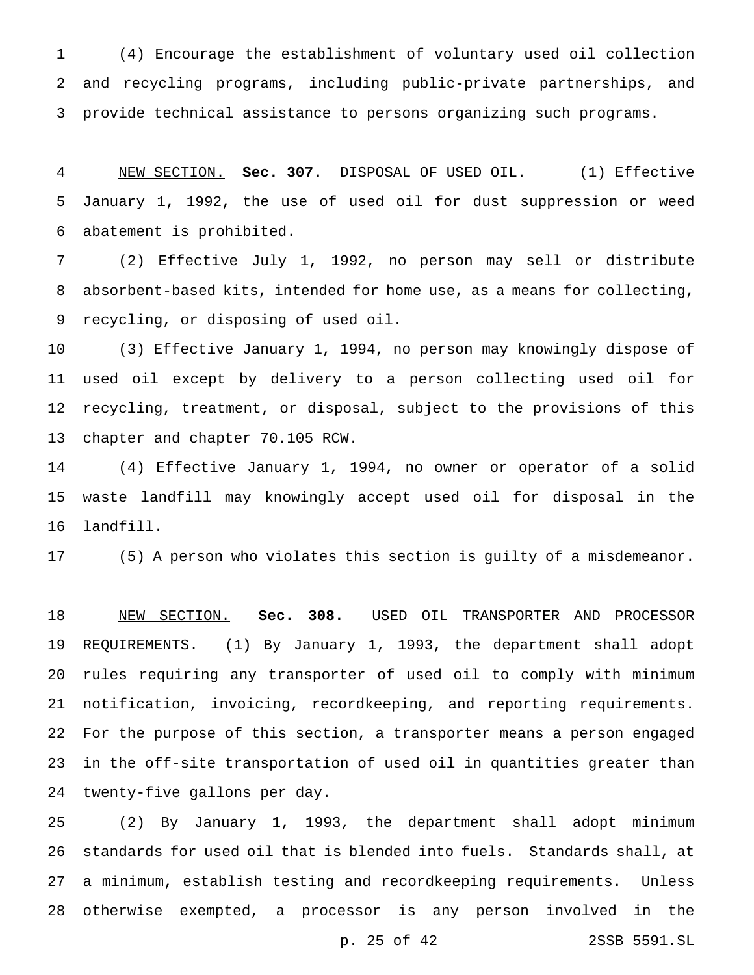(4) Encourage the establishment of voluntary used oil collection and recycling programs, including public-private partnerships, and provide technical assistance to persons organizing such programs.

 NEW SECTION. **Sec. 307.** DISPOSAL OF USED OIL. (1) Effective January 1, 1992, the use of used oil for dust suppression or weed abatement is prohibited.

 (2) Effective July 1, 1992, no person may sell or distribute absorbent-based kits, intended for home use, as a means for collecting, recycling, or disposing of used oil.

 (3) Effective January 1, 1994, no person may knowingly dispose of used oil except by delivery to a person collecting used oil for recycling, treatment, or disposal, subject to the provisions of this chapter and chapter 70.105 RCW.

 (4) Effective January 1, 1994, no owner or operator of a solid waste landfill may knowingly accept used oil for disposal in the landfill.

(5) A person who violates this section is guilty of a misdemeanor.

 NEW SECTION. **Sec. 308.** USED OIL TRANSPORTER AND PROCESSOR REQUIREMENTS. (1) By January 1, 1993, the department shall adopt rules requiring any transporter of used oil to comply with minimum notification, invoicing, recordkeeping, and reporting requirements. For the purpose of this section, a transporter means a person engaged in the off-site transportation of used oil in quantities greater than twenty-five gallons per day.

 (2) By January 1, 1993, the department shall adopt minimum standards for used oil that is blended into fuels. Standards shall, at a minimum, establish testing and recordkeeping requirements. Unless otherwise exempted, a processor is any person involved in the

p. 25 of 42 2SSB 5591.SL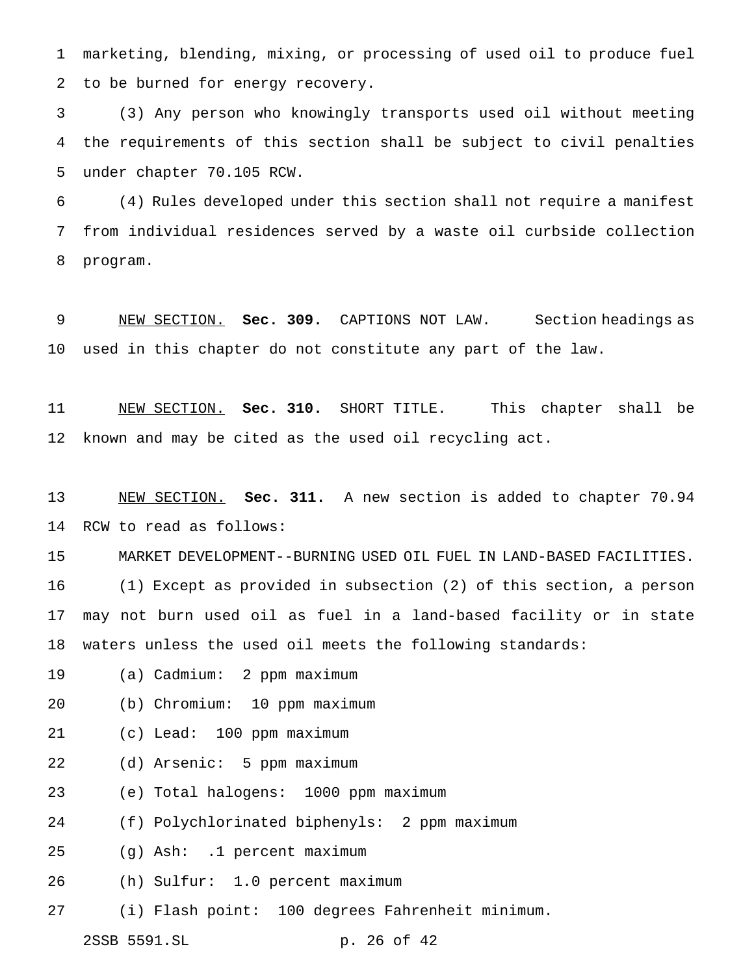marketing, blending, mixing, or processing of used oil to produce fuel to be burned for energy recovery.

 (3) Any person who knowingly transports used oil without meeting the requirements of this section shall be subject to civil penalties under chapter 70.105 RCW.

 (4) Rules developed under this section shall not require a manifest from individual residences served by a waste oil curbside collection program.

 NEW SECTION. **Sec. 309.** CAPTIONS NOT LAW. Section headings as used in this chapter do not constitute any part of the law.

 NEW SECTION. **Sec. 310.** SHORT TITLE. This chapter shall be known and may be cited as the used oil recycling act.

 NEW SECTION. **Sec. 311.** A new section is added to chapter 70.94 RCW to read as follows:

MARKET DEVELOPMENT--BURNING USED OIL FUEL IN LAND-BASED FACILITIES.

 (1) Except as provided in subsection (2) of this section, a person may not burn used oil as fuel in a land-based facility or in state waters unless the used oil meets the following standards:

- (a) Cadmium: 2 ppm maximum
- (b) Chromium: 10 ppm maximum
- (c) Lead: 100 ppm maximum
- (d) Arsenic: 5 ppm maximum
- (e) Total halogens: 1000 ppm maximum
- (f) Polychlorinated biphenyls: 2 ppm maximum
- (g) Ash: .1 percent maximum
- (h) Sulfur: 1.0 percent maximum
- (i) Flash point: 100 degrees Fahrenheit minimum.

2SSB 5591.SL p. 26 of 42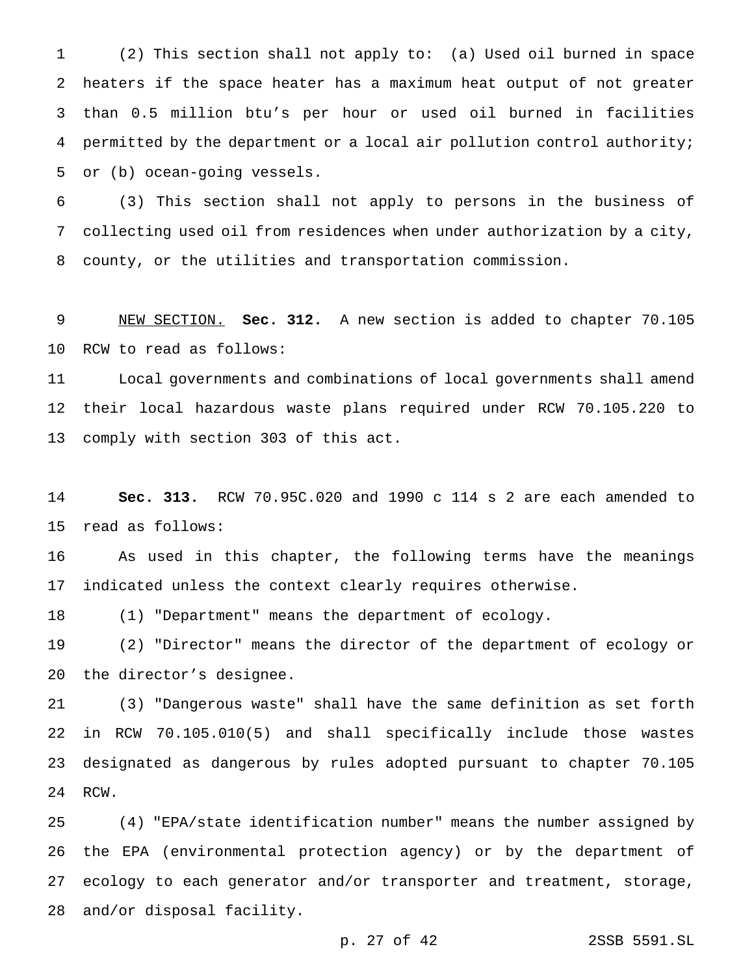(2) This section shall not apply to: (a) Used oil burned in space heaters if the space heater has a maximum heat output of not greater than 0.5 million btu's per hour or used oil burned in facilities permitted by the department or a local air pollution control authority; or (b) ocean-going vessels.

 (3) This section shall not apply to persons in the business of collecting used oil from residences when under authorization by a city, county, or the utilities and transportation commission.

 NEW SECTION. **Sec. 312.** A new section is added to chapter 70.105 RCW to read as follows:

 Local governments and combinations of local governments shall amend their local hazardous waste plans required under RCW 70.105.220 to comply with section 303 of this act.

 **Sec. 313.** RCW 70.95C.020 and 1990 c 114 s 2 are each amended to read as follows:

 As used in this chapter, the following terms have the meanings indicated unless the context clearly requires otherwise.

(1) "Department" means the department of ecology.

 (2) "Director" means the director of the department of ecology or the director's designee.

 (3) "Dangerous waste" shall have the same definition as set forth in RCW 70.105.010(5) and shall specifically include those wastes designated as dangerous by rules adopted pursuant to chapter 70.105 RCW.

 (4) "EPA/state identification number" means the number assigned by the EPA (environmental protection agency) or by the department of ecology to each generator and/or transporter and treatment, storage, and/or disposal facility.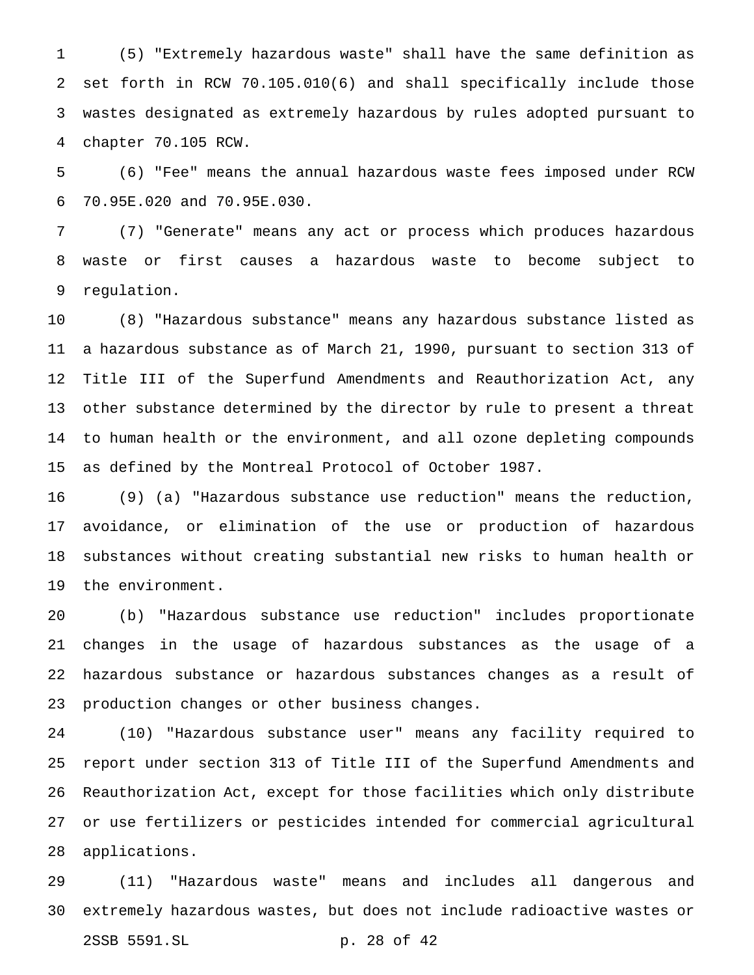(5) "Extremely hazardous waste" shall have the same definition as set forth in RCW 70.105.010(6) and shall specifically include those wastes designated as extremely hazardous by rules adopted pursuant to chapter 70.105 RCW.

 (6) "Fee" means the annual hazardous waste fees imposed under RCW 70.95E.020 and 70.95E.030.

 (7) "Generate" means any act or process which produces hazardous waste or first causes a hazardous waste to become subject to regulation.

 (8) "Hazardous substance" means any hazardous substance listed as a hazardous substance as of March 21, 1990, pursuant to section 313 of Title III of the Superfund Amendments and Reauthorization Act, any other substance determined by the director by rule to present a threat to human health or the environment, and all ozone depleting compounds as defined by the Montreal Protocol of October 1987.

 (9) (a) "Hazardous substance use reduction" means the reduction, avoidance, or elimination of the use or production of hazardous substances without creating substantial new risks to human health or the environment.

 (b) "Hazardous substance use reduction" includes proportionate changes in the usage of hazardous substances as the usage of a hazardous substance or hazardous substances changes as a result of production changes or other business changes.

 (10) "Hazardous substance user" means any facility required to report under section 313 of Title III of the Superfund Amendments and Reauthorization Act, except for those facilities which only distribute or use fertilizers or pesticides intended for commercial agricultural applications.

 (11) "Hazardous waste" means and includes all dangerous and extremely hazardous wastes, but does not include radioactive wastes or 2SSB 5591.SL p. 28 of 42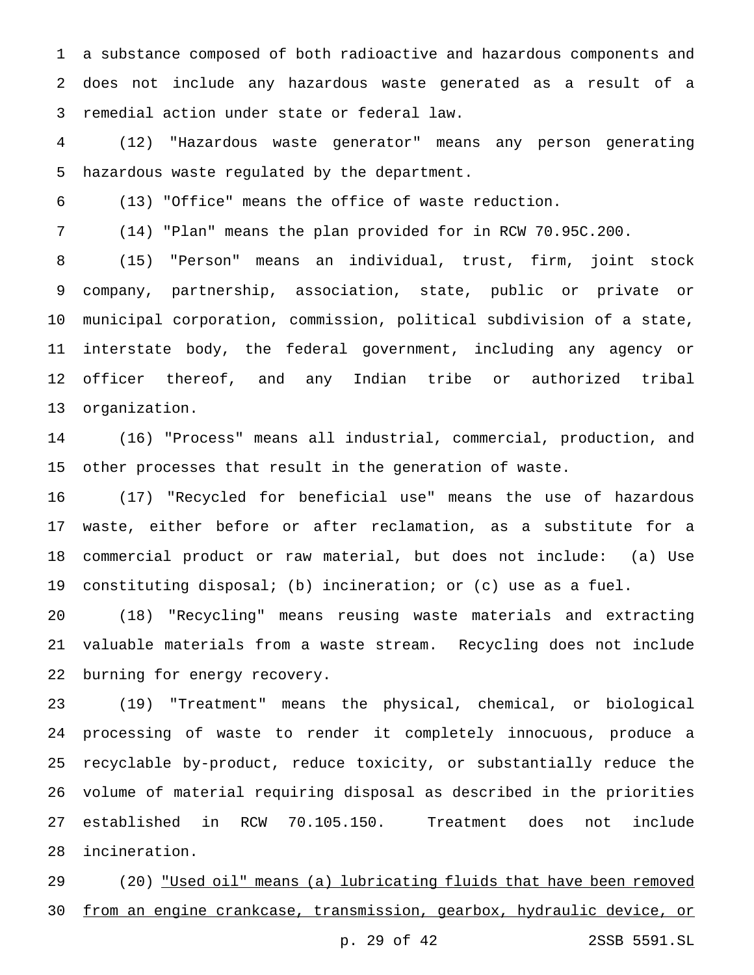a substance composed of both radioactive and hazardous components and does not include any hazardous waste generated as a result of a remedial action under state or federal law.

 (12) "Hazardous waste generator" means any person generating hazardous waste regulated by the department.

(13) "Office" means the office of waste reduction.

(14) "Plan" means the plan provided for in RCW 70.95C.200.

 (15) "Person" means an individual, trust, firm, joint stock company, partnership, association, state, public or private or municipal corporation, commission, political subdivision of a state, interstate body, the federal government, including any agency or officer thereof, and any Indian tribe or authorized tribal organization.

 (16) "Process" means all industrial, commercial, production, and other processes that result in the generation of waste.

 (17) "Recycled for beneficial use" means the use of hazardous waste, either before or after reclamation, as a substitute for a commercial product or raw material, but does not include: (a) Use constituting disposal; (b) incineration; or (c) use as a fuel.

 (18) "Recycling" means reusing waste materials and extracting valuable materials from a waste stream. Recycling does not include burning for energy recovery.

 (19) "Treatment" means the physical, chemical, or biological processing of waste to render it completely innocuous, produce a recyclable by-product, reduce toxicity, or substantially reduce the volume of material requiring disposal as described in the priorities established in RCW 70.105.150. Treatment does not include incineration.

 (20) "Used oil" means (a) lubricating fluids that have been removed from an engine crankcase, transmission, gearbox, hydraulic device, or

p. 29 of 42 2SSB 5591.SL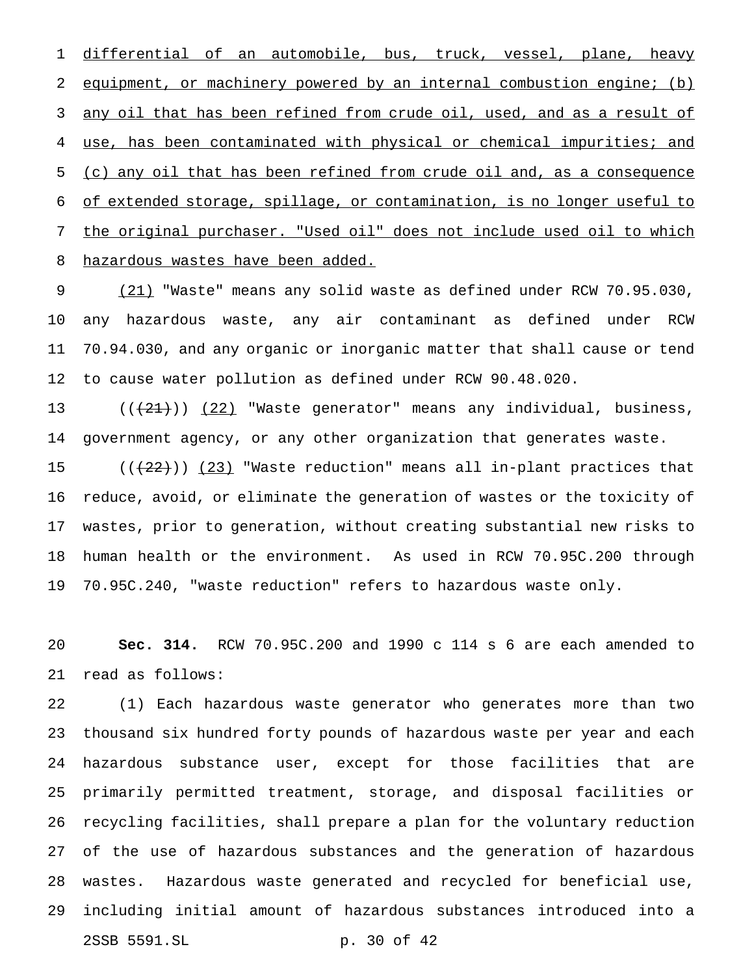1 differential of an automobile, bus, truck, vessel, plane, heavy 2 equipment, or machinery powered by an internal combustion engine; (b) 3 any oil that has been refined from crude oil, used, and as a result of use, has been contaminated with physical or chemical impurities; and (c) any oil that has been refined from crude oil and, as a consequence of extended storage, spillage, or contamination, is no longer useful to the original purchaser. "Used oil" does not include used oil to which hazardous wastes have been added.

9 (21) "Waste" means any solid waste as defined under RCW 70.95.030, any hazardous waste, any air contaminant as defined under RCW 70.94.030, and any organic or inorganic matter that shall cause or tend to cause water pollution as defined under RCW 90.48.020.

13 ((<del>(21)</del>)) (22) "Waste generator" means any individual, business, government agency, or any other organization that generates waste.

 $((+22)^{n})$  (23) "Waste reduction" means all in-plant practices that reduce, avoid, or eliminate the generation of wastes or the toxicity of wastes, prior to generation, without creating substantial new risks to human health or the environment. As used in RCW 70.95C.200 through 70.95C.240, "waste reduction" refers to hazardous waste only.

 **Sec. 314.** RCW 70.95C.200 and 1990 c 114 s 6 are each amended to read as follows:

 (1) Each hazardous waste generator who generates more than two thousand six hundred forty pounds of hazardous waste per year and each hazardous substance user, except for those facilities that are primarily permitted treatment, storage, and disposal facilities or recycling facilities, shall prepare a plan for the voluntary reduction of the use of hazardous substances and the generation of hazardous wastes. Hazardous waste generated and recycled for beneficial use, including initial amount of hazardous substances introduced into a 2SSB 5591.SL p. 30 of 42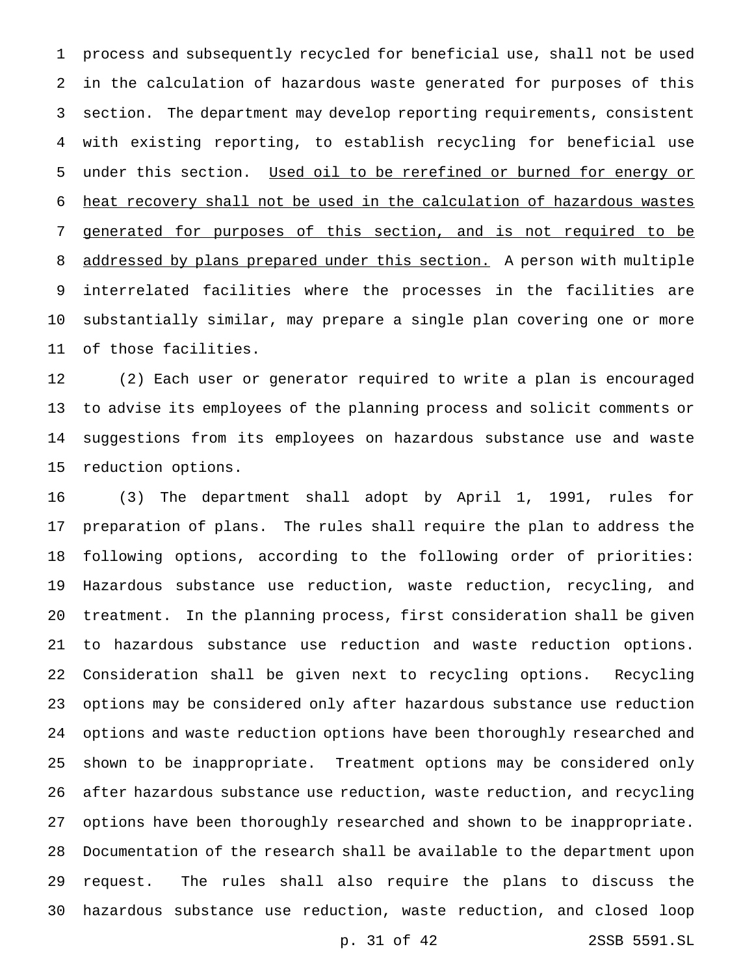process and subsequently recycled for beneficial use, shall not be used in the calculation of hazardous waste generated for purposes of this section. The department may develop reporting requirements, consistent with existing reporting, to establish recycling for beneficial use 5 under this section. Used oil to be rerefined or burned for energy or heat recovery shall not be used in the calculation of hazardous wastes generated for purposes of this section, and is not required to be 8 addressed by plans prepared under this section. A person with multiple interrelated facilities where the processes in the facilities are substantially similar, may prepare a single plan covering one or more of those facilities.

 (2) Each user or generator required to write a plan is encouraged to advise its employees of the planning process and solicit comments or suggestions from its employees on hazardous substance use and waste reduction options.

 (3) The department shall adopt by April 1, 1991, rules for preparation of plans. The rules shall require the plan to address the following options, according to the following order of priorities: Hazardous substance use reduction, waste reduction, recycling, and treatment. In the planning process, first consideration shall be given to hazardous substance use reduction and waste reduction options. Consideration shall be given next to recycling options. Recycling options may be considered only after hazardous substance use reduction options and waste reduction options have been thoroughly researched and shown to be inappropriate. Treatment options may be considered only after hazardous substance use reduction, waste reduction, and recycling options have been thoroughly researched and shown to be inappropriate. Documentation of the research shall be available to the department upon request. The rules shall also require the plans to discuss the hazardous substance use reduction, waste reduction, and closed loop

p. 31 of 42 2SSB 5591.SL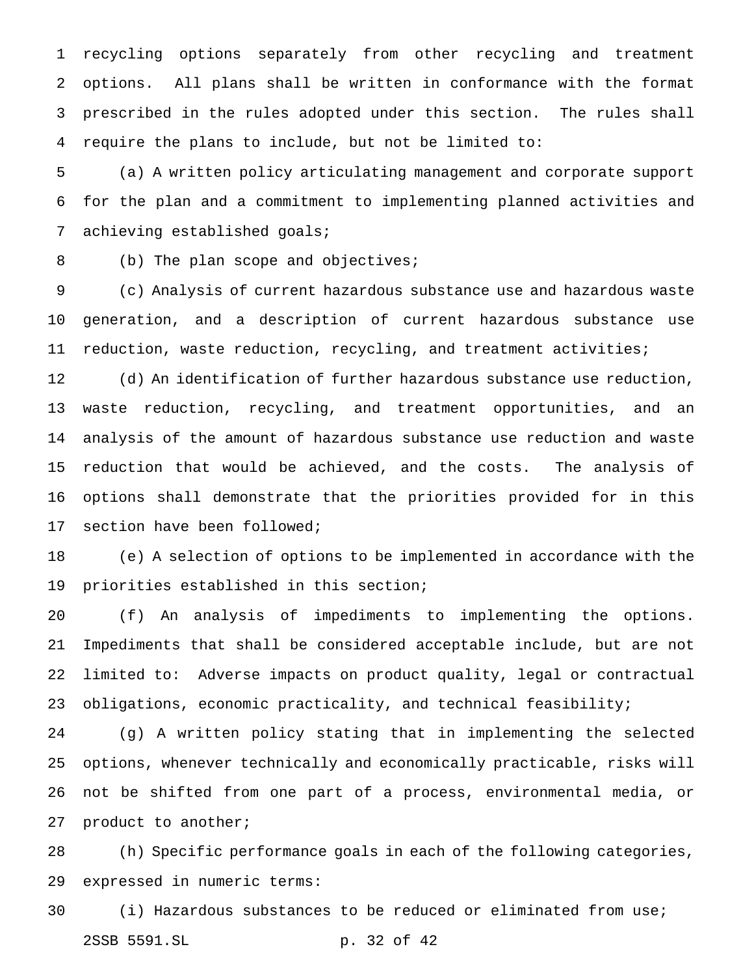recycling options separately from other recycling and treatment options. All plans shall be written in conformance with the format prescribed in the rules adopted under this section. The rules shall require the plans to include, but not be limited to:

 (a) A written policy articulating management and corporate support for the plan and a commitment to implementing planned activities and achieving established goals;

(b) The plan scope and objectives;

 (c) Analysis of current hazardous substance use and hazardous waste generation, and a description of current hazardous substance use reduction, waste reduction, recycling, and treatment activities;

 (d) An identification of further hazardous substance use reduction, waste reduction, recycling, and treatment opportunities, and an analysis of the amount of hazardous substance use reduction and waste reduction that would be achieved, and the costs. The analysis of options shall demonstrate that the priorities provided for in this section have been followed;

 (e) A selection of options to be implemented in accordance with the priorities established in this section;

 (f) An analysis of impediments to implementing the options. Impediments that shall be considered acceptable include, but are not limited to: Adverse impacts on product quality, legal or contractual obligations, economic practicality, and technical feasibility;

 (g) A written policy stating that in implementing the selected options, whenever technically and economically practicable, risks will not be shifted from one part of a process, environmental media, or product to another;

 (h) Specific performance goals in each of the following categories, expressed in numeric terms:

 (i) Hazardous substances to be reduced or eliminated from use; 2SSB 5591.SL p. 32 of 42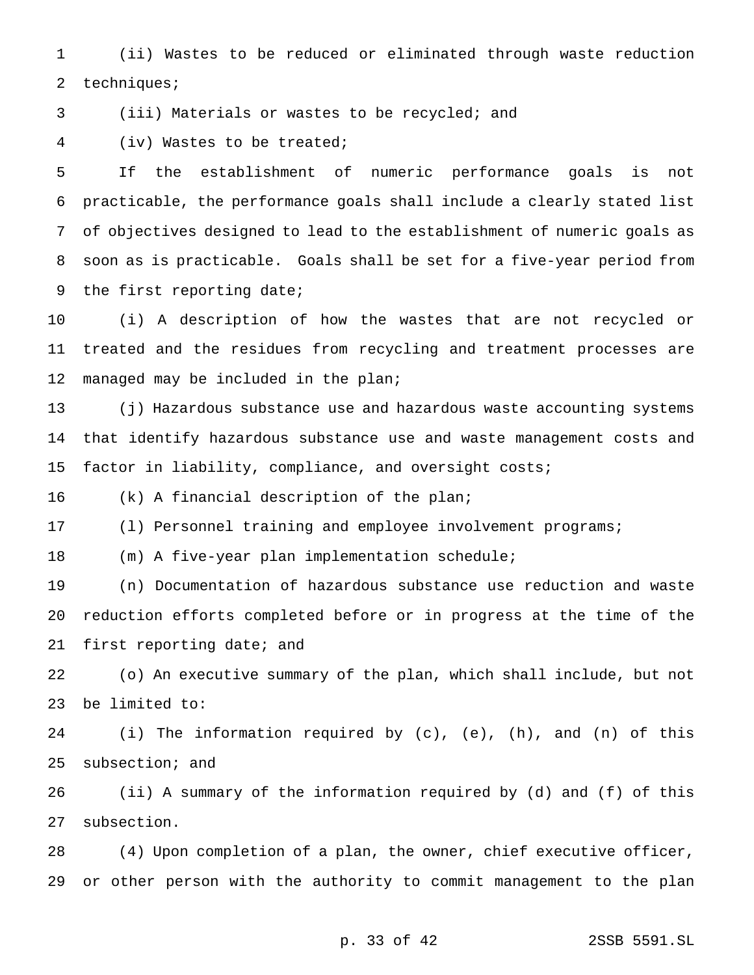(ii) Wastes to be reduced or eliminated through waste reduction 2 techniques;

(iii) Materials or wastes to be recycled; and

(iv) Wastes to be treated;

 If the establishment of numeric performance goals is not practicable, the performance goals shall include a clearly stated list of objectives designed to lead to the establishment of numeric goals as soon as is practicable. Goals shall be set for a five-year period from the first reporting date;

 (i) A description of how the wastes that are not recycled or treated and the residues from recycling and treatment processes are 12 managed may be included in the plan;

 (j) Hazardous substance use and hazardous waste accounting systems that identify hazardous substance use and waste management costs and factor in liability, compliance, and oversight costs;

(k) A financial description of the plan;

(l) Personnel training and employee involvement programs;

(m) A five-year plan implementation schedule;

 (n) Documentation of hazardous substance use reduction and waste reduction efforts completed before or in progress at the time of the first reporting date; and

 (o) An executive summary of the plan, which shall include, but not be limited to:

 (i) The information required by (c), (e), (h), and (n) of this subsection; and

 (ii) A summary of the information required by (d) and (f) of this subsection.

 (4) Upon completion of a plan, the owner, chief executive officer, or other person with the authority to commit management to the plan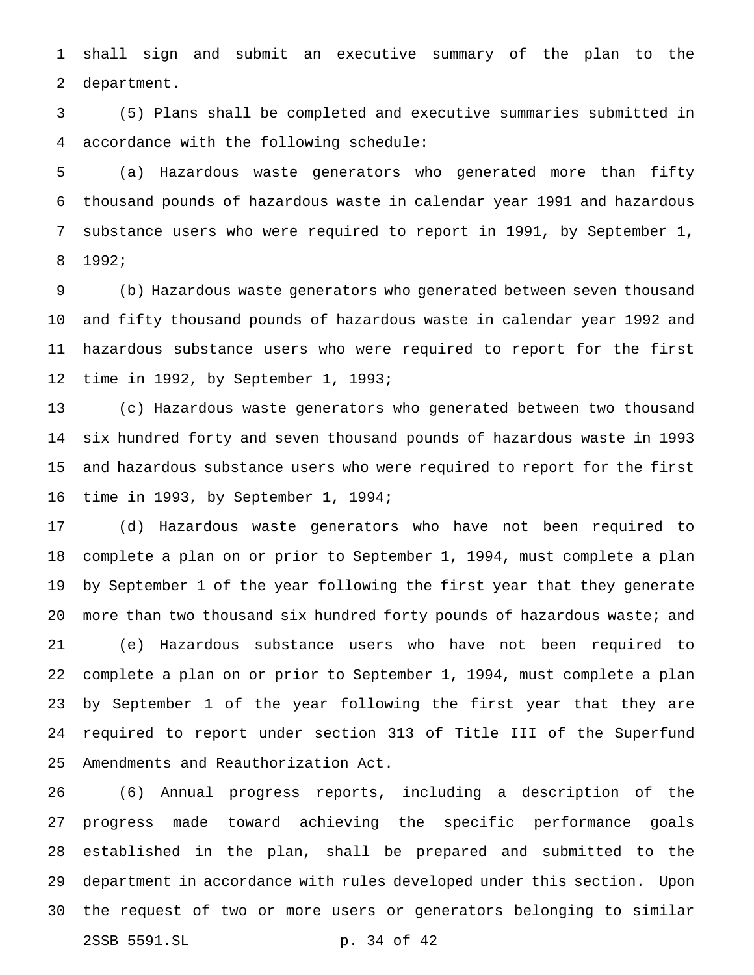shall sign and submit an executive summary of the plan to the department.

 (5) Plans shall be completed and executive summaries submitted in accordance with the following schedule:

 (a) Hazardous waste generators who generated more than fifty thousand pounds of hazardous waste in calendar year 1991 and hazardous substance users who were required to report in 1991, by September 1, 1992;

 (b) Hazardous waste generators who generated between seven thousand and fifty thousand pounds of hazardous waste in calendar year 1992 and hazardous substance users who were required to report for the first time in 1992, by September 1, 1993;

 (c) Hazardous waste generators who generated between two thousand six hundred forty and seven thousand pounds of hazardous waste in 1993 and hazardous substance users who were required to report for the first time in 1993, by September 1, 1994;

 (d) Hazardous waste generators who have not been required to complete a plan on or prior to September 1, 1994, must complete a plan by September 1 of the year following the first year that they generate 20 more than two thousand six hundred forty pounds of hazardous waste; and (e) Hazardous substance users who have not been required to complete a plan on or prior to September 1, 1994, must complete a plan by September 1 of the year following the first year that they are required to report under section 313 of Title III of the Superfund Amendments and Reauthorization Act.

 (6) Annual progress reports, including a description of the progress made toward achieving the specific performance goals established in the plan, shall be prepared and submitted to the department in accordance with rules developed under this section. Upon the request of two or more users or generators belonging to similar 2SSB 5591.SL p. 34 of 42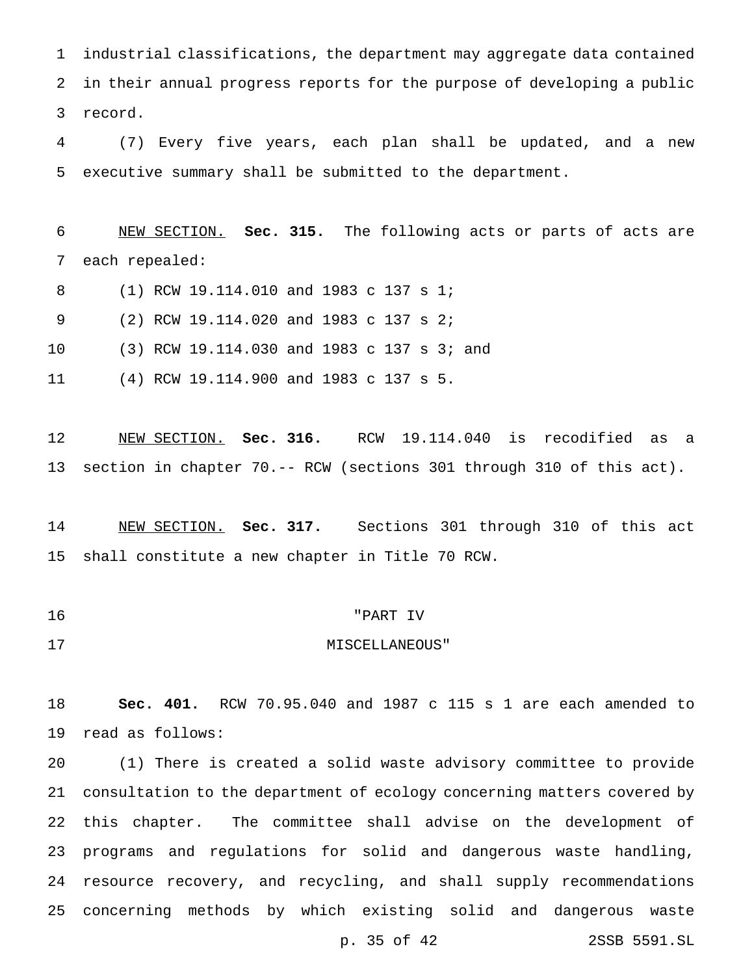industrial classifications, the department may aggregate data contained in their annual progress reports for the purpose of developing a public record.

 (7) Every five years, each plan shall be updated, and a new executive summary shall be submitted to the department.

 NEW SECTION. **Sec. 315.** The following acts or parts of acts are each repealed:

(1) RCW 19.114.010 and 1983 c 137 s 1;

(2) RCW 19.114.020 and 1983 c 137 s 2;

(3) RCW 19.114.030 and 1983 c 137 s 3; and

(4) RCW 19.114.900 and 1983 c 137 s 5.

 NEW SECTION. **Sec. 316.** RCW 19.114.040 is recodified as a section in chapter 70.-- RCW (sections 301 through 310 of this act).

 NEW SECTION. **Sec. 317.** Sections 301 through 310 of this act shall constitute a new chapter in Title 70 RCW.

- "PART IV
- 17 MISCELLANEOUS"

 **Sec. 401.** RCW 70.95.040 and 1987 c 115 s 1 are each amended to read as follows:

 (1) There is created a solid waste advisory committee to provide consultation to the department of ecology concerning matters covered by this chapter. The committee shall advise on the development of programs and regulations for solid and dangerous waste handling, resource recovery, and recycling, and shall supply recommendations concerning methods by which existing solid and dangerous waste

p. 35 of 42 2SSB 5591.SL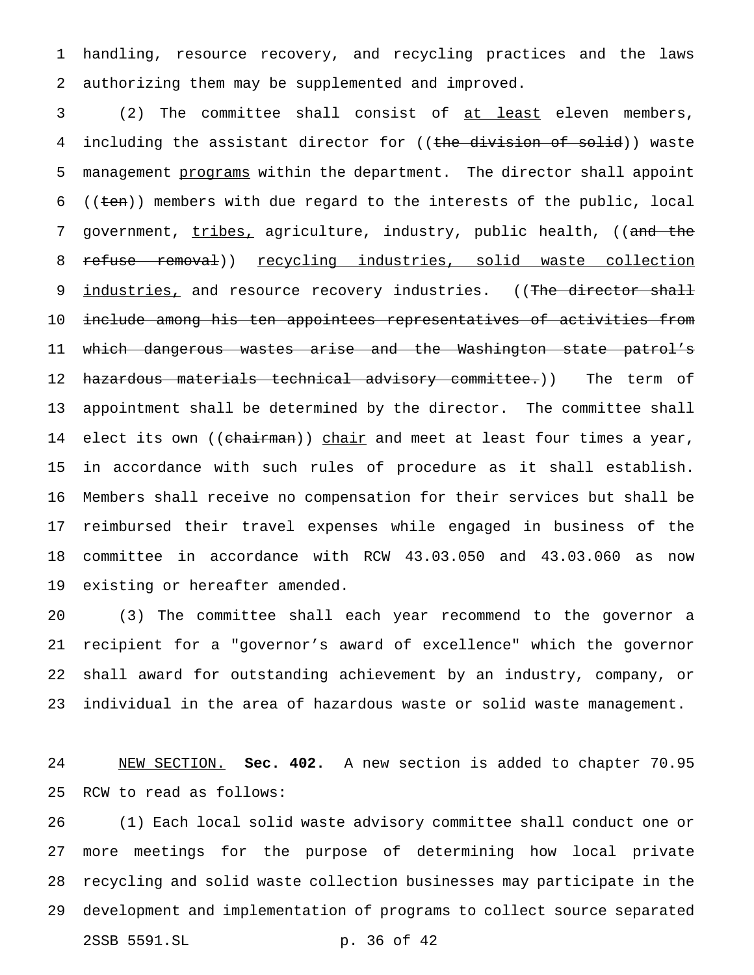handling, resource recovery, and recycling practices and the laws authorizing them may be supplemented and improved.

 (2) The committee shall consist of at least eleven members, 4 including the assistant director for ((the division of solid)) waste 5 management programs within the department. The director shall appoint 6 (( $t_{en}$ )) members with due regard to the interests of the public, local 7 government, tribes, agriculture, industry, public health, ((and the 8 refuse removal)) recycling industries, solid waste collection 9 industries, and resource recovery industries. ((The director shall include among his ten appointees representatives of activities from which dangerous wastes arise and the Washington state patrol's 12 <del>hazardous materials technical advisory committee.</del>)) The term of appointment shall be determined by the director. The committee shall 14 elect its own ((<del>chairman</del>)) <u>chair</u> and meet at least four times a year, in accordance with such rules of procedure as it shall establish. Members shall receive no compensation for their services but shall be reimbursed their travel expenses while engaged in business of the committee in accordance with RCW 43.03.050 and 43.03.060 as now existing or hereafter amended.

 (3) The committee shall each year recommend to the governor a recipient for a "governor's award of excellence" which the governor shall award for outstanding achievement by an industry, company, or individual in the area of hazardous waste or solid waste management.

 NEW SECTION. **Sec. 402.** A new section is added to chapter 70.95 RCW to read as follows:

 (1) Each local solid waste advisory committee shall conduct one or more meetings for the purpose of determining how local private recycling and solid waste collection businesses may participate in the development and implementation of programs to collect source separated 2SSB 5591.SL p. 36 of 42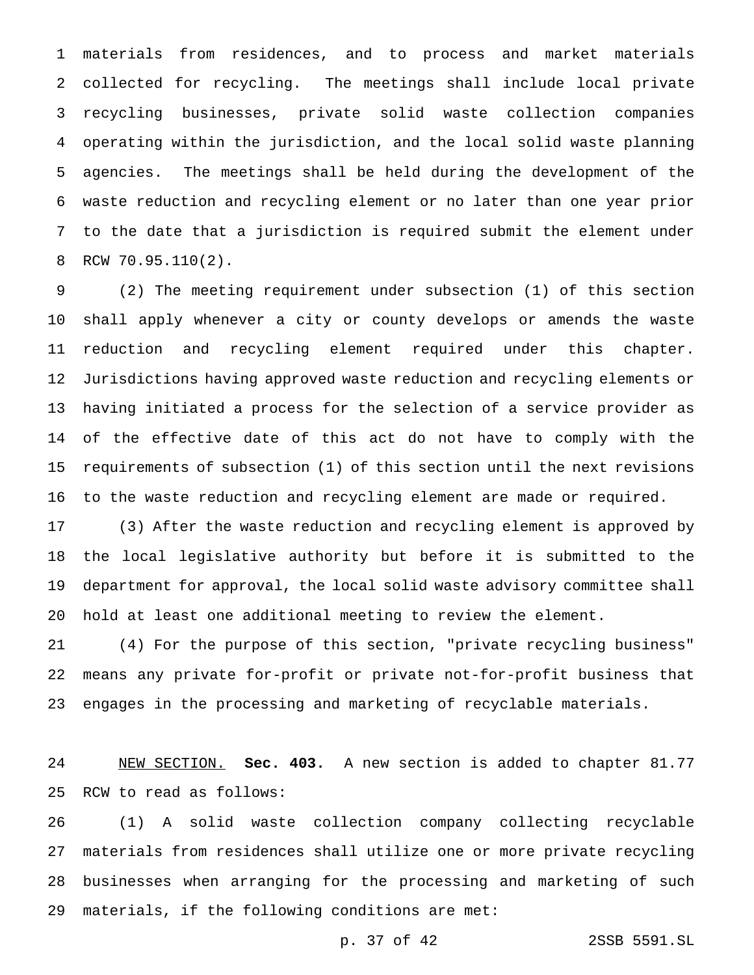materials from residences, and to process and market materials collected for recycling. The meetings shall include local private recycling businesses, private solid waste collection companies operating within the jurisdiction, and the local solid waste planning agencies. The meetings shall be held during the development of the waste reduction and recycling element or no later than one year prior to the date that a jurisdiction is required submit the element under RCW 70.95.110(2).

 (2) The meeting requirement under subsection (1) of this section shall apply whenever a city or county develops or amends the waste reduction and recycling element required under this chapter. Jurisdictions having approved waste reduction and recycling elements or having initiated a process for the selection of a service provider as of the effective date of this act do not have to comply with the requirements of subsection (1) of this section until the next revisions to the waste reduction and recycling element are made or required.

 (3) After the waste reduction and recycling element is approved by the local legislative authority but before it is submitted to the department for approval, the local solid waste advisory committee shall hold at least one additional meeting to review the element.

 (4) For the purpose of this section, "private recycling business" means any private for-profit or private not-for-profit business that engages in the processing and marketing of recyclable materials.

 NEW SECTION. **Sec. 403.** A new section is added to chapter 81.77 RCW to read as follows:

 (1) A solid waste collection company collecting recyclable materials from residences shall utilize one or more private recycling businesses when arranging for the processing and marketing of such materials, if the following conditions are met:

p. 37 of 42 2SSB 5591.SL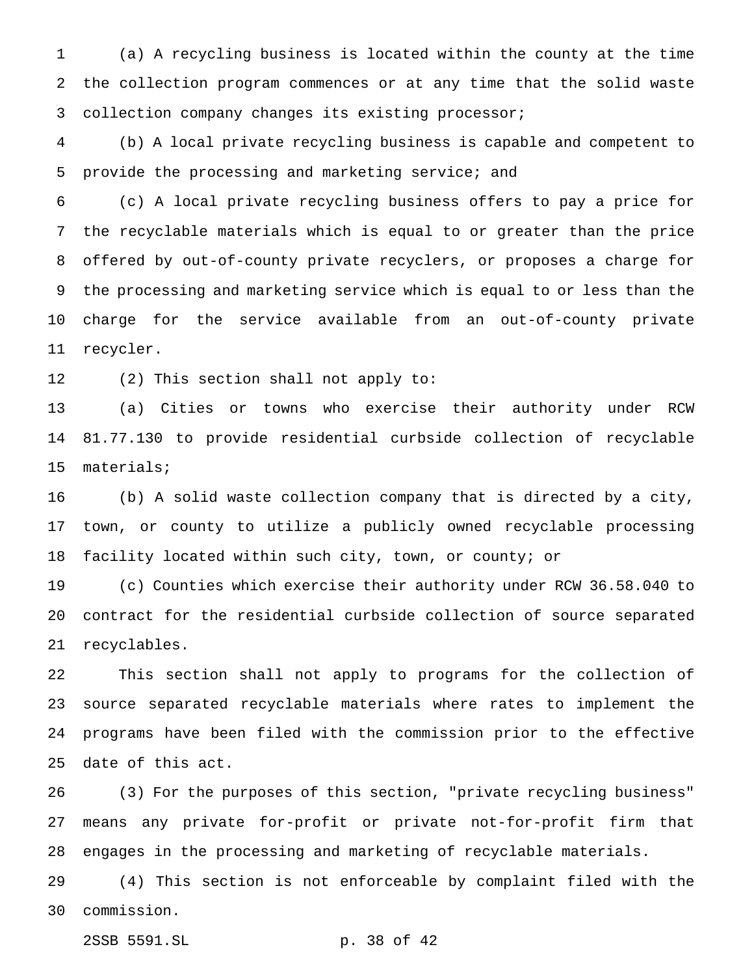(a) A recycling business is located within the county at the time the collection program commences or at any time that the solid waste collection company changes its existing processor;

 (b) A local private recycling business is capable and competent to provide the processing and marketing service; and

 (c) A local private recycling business offers to pay a price for the recyclable materials which is equal to or greater than the price offered by out-of-county private recyclers, or proposes a charge for the processing and marketing service which is equal to or less than the charge for the service available from an out-of-county private recycler.

(2) This section shall not apply to:

 (a) Cities or towns who exercise their authority under RCW 81.77.130 to provide residential curbside collection of recyclable materials;

 (b) A solid waste collection company that is directed by a city, town, or county to utilize a publicly owned recyclable processing facility located within such city, town, or county; or

 (c) Counties which exercise their authority under RCW 36.58.040 to contract for the residential curbside collection of source separated recyclables.

 This section shall not apply to programs for the collection of source separated recyclable materials where rates to implement the programs have been filed with the commission prior to the effective date of this act.

 (3) For the purposes of this section, "private recycling business" means any private for-profit or private not-for-profit firm that engages in the processing and marketing of recyclable materials.

 (4) This section is not enforceable by complaint filed with the commission.

2SSB 5591.SL p. 38 of 42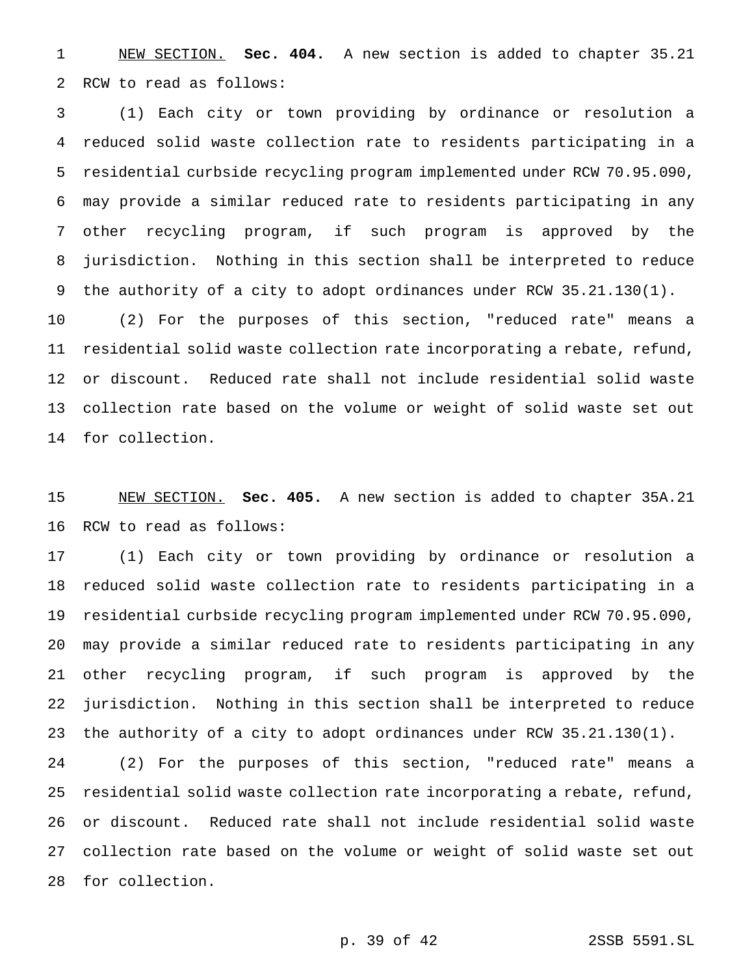NEW SECTION. **Sec. 404.** A new section is added to chapter 35.21 RCW to read as follows:

 (1) Each city or town providing by ordinance or resolution a reduced solid waste collection rate to residents participating in a residential curbside recycling program implemented under RCW 70.95.090, may provide a similar reduced rate to residents participating in any other recycling program, if such program is approved by the jurisdiction. Nothing in this section shall be interpreted to reduce the authority of a city to adopt ordinances under RCW 35.21.130(1).

 (2) For the purposes of this section, "reduced rate" means a residential solid waste collection rate incorporating a rebate, refund, or discount. Reduced rate shall not include residential solid waste collection rate based on the volume or weight of solid waste set out for collection.

 NEW SECTION. **Sec. 405.** A new section is added to chapter 35A.21 RCW to read as follows:

 (1) Each city or town providing by ordinance or resolution a reduced solid waste collection rate to residents participating in a residential curbside recycling program implemented under RCW 70.95.090, may provide a similar reduced rate to residents participating in any other recycling program, if such program is approved by the jurisdiction. Nothing in this section shall be interpreted to reduce the authority of a city to adopt ordinances under RCW 35.21.130(1).

 (2) For the purposes of this section, "reduced rate" means a residential solid waste collection rate incorporating a rebate, refund, or discount. Reduced rate shall not include residential solid waste collection rate based on the volume or weight of solid waste set out for collection.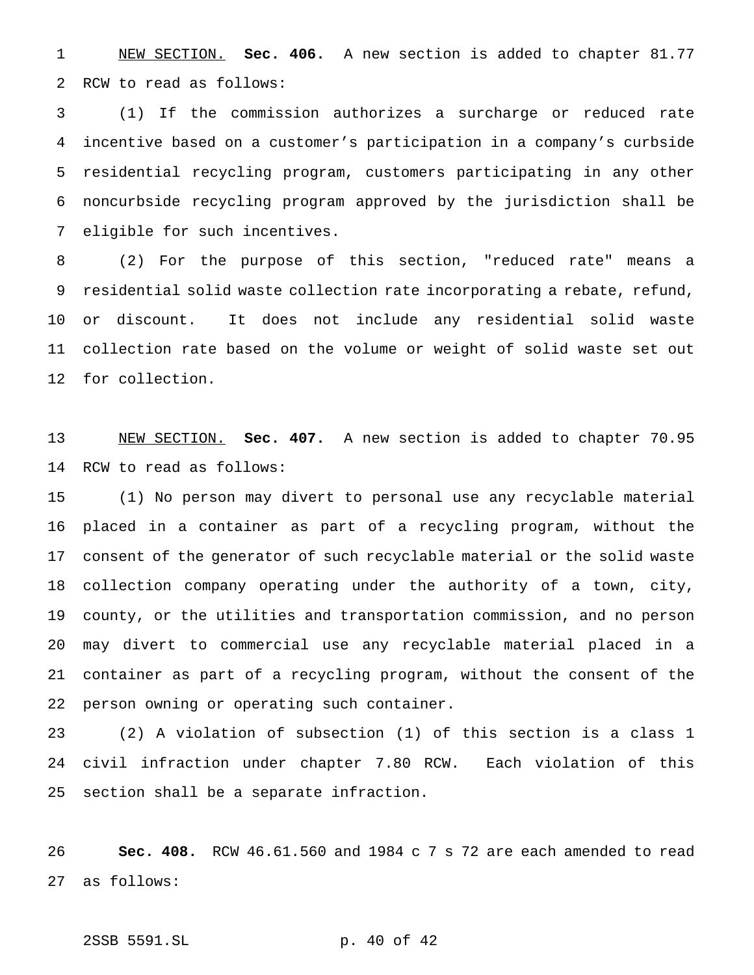NEW SECTION. **Sec. 406.** A new section is added to chapter 81.77 RCW to read as follows:

 (1) If the commission authorizes a surcharge or reduced rate incentive based on a customer's participation in a company's curbside residential recycling program, customers participating in any other noncurbside recycling program approved by the jurisdiction shall be eligible for such incentives.

 (2) For the purpose of this section, "reduced rate" means a residential solid waste collection rate incorporating a rebate, refund, or discount. It does not include any residential solid waste collection rate based on the volume or weight of solid waste set out for collection.

 NEW SECTION. **Sec. 407.** A new section is added to chapter 70.95 RCW to read as follows:

 (1) No person may divert to personal use any recyclable material placed in a container as part of a recycling program, without the consent of the generator of such recyclable material or the solid waste collection company operating under the authority of a town, city, county, or the utilities and transportation commission, and no person may divert to commercial use any recyclable material placed in a container as part of a recycling program, without the consent of the person owning or operating such container.

 (2) A violation of subsection (1) of this section is a class 1 civil infraction under chapter 7.80 RCW. Each violation of this section shall be a separate infraction.

 **Sec. 408.** RCW 46.61.560 and 1984 c 7 s 72 are each amended to read as follows:

2SSB 5591.SL p. 40 of 42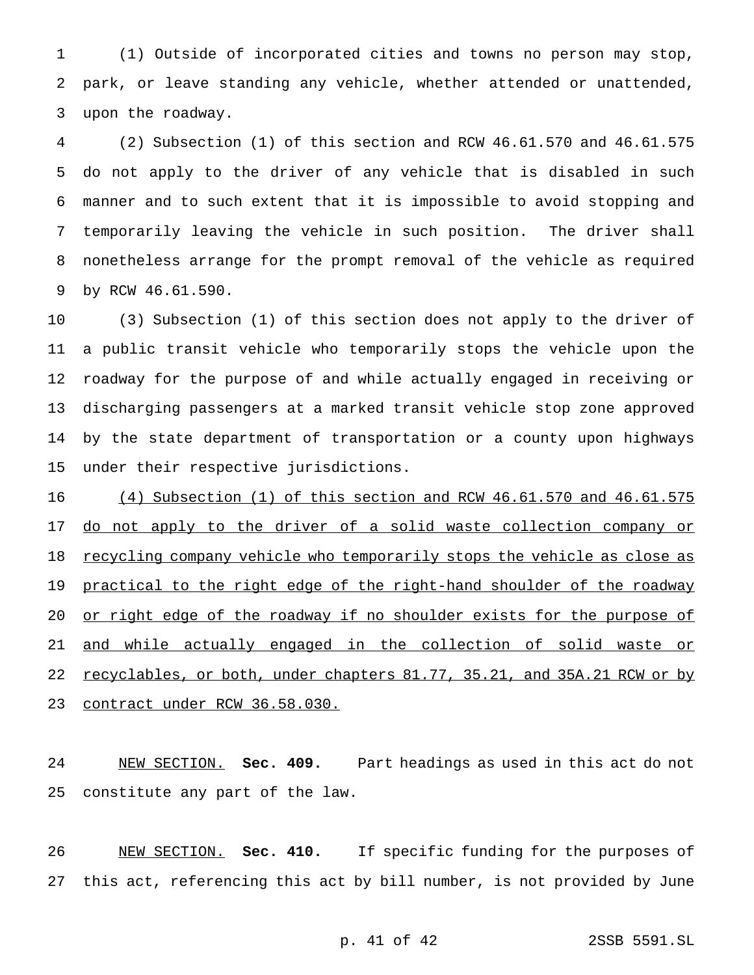(1) Outside of incorporated cities and towns no person may stop, park, or leave standing any vehicle, whether attended or unattended, upon the roadway.

 (2) Subsection (1) of this section and RCW 46.61.570 and 46.61.575 do not apply to the driver of any vehicle that is disabled in such manner and to such extent that it is impossible to avoid stopping and temporarily leaving the vehicle in such position. The driver shall nonetheless arrange for the prompt removal of the vehicle as required by RCW 46.61.590.

 (3) Subsection (1) of this section does not apply to the driver of a public transit vehicle who temporarily stops the vehicle upon the roadway for the purpose of and while actually engaged in receiving or discharging passengers at a marked transit vehicle stop zone approved by the state department of transportation or a county upon highways under their respective jurisdictions.

 (4) Subsection (1) of this section and RCW 46.61.570 and 46.61.575 17 do not apply to the driver of a solid waste collection company or 18 recycling company vehicle who temporarily stops the vehicle as close as 19 <u>practical to the right edge of the right-hand shoulder of the roadway</u> 20 or right edge of the roadway if no shoulder exists for the purpose of and while actually engaged in the collection of solid waste or 22 recyclables, or both, under chapters 81.77, 35.21, and 35A.21 RCW or by contract under RCW 36.58.030.

 NEW SECTION. **Sec. 409.** Part headings as used in this act do not constitute any part of the law.

 NEW SECTION. **Sec. 410.** If specific funding for the purposes of this act, referencing this act by bill number, is not provided by June